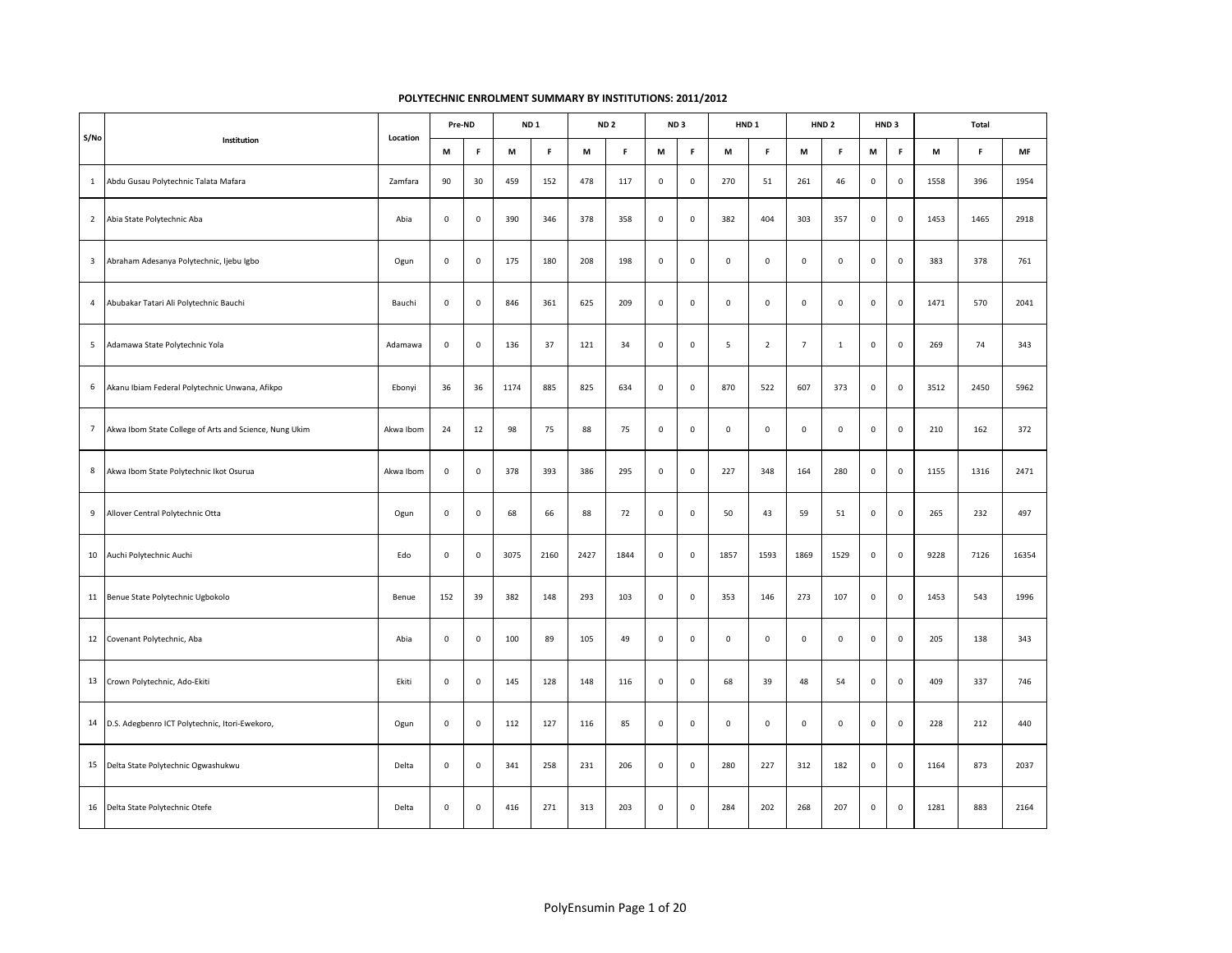| S/No                    |                                                        | Location  |                     | Pre-ND              |      | ND <sub>1</sub> |      | ND <sub>2</sub> |             | ND <sub>3</sub> | HND <sub>1</sub> |                     |                | HND <sub>2</sub> |                     | HND <sub>3</sub> |      | Total |           |
|-------------------------|--------------------------------------------------------|-----------|---------------------|---------------------|------|-----------------|------|-----------------|-------------|-----------------|------------------|---------------------|----------------|------------------|---------------------|------------------|------|-------|-----------|
|                         | Institution                                            |           | M                   | F                   | M    | F.              | M    | F.              | M           | F               | М                | F.                  | M              | F.               | M                   | F                | M    | F.    | <b>MF</b> |
| $\mathbf{1}$            | Abdu Gusau Polytechnic Talata Mafara                   | Zamfara   | 90                  | 30                  | 459  | 152             | 478  | 117             | $\mathsf 0$ | $\mathsf 0$     | 270              | 51                  | 261            | 46               | $\mathsf 0$         | $\mathsf 0$      | 1558 | 396   | 1954      |
| $\overline{2}$          | Abia State Polytechnic Aba                             | Abia      | $\mathsf 0$         | $\mathsf 0$         | 390  | 346             | 378  | 358             | $\mathsf 0$ | $\mathsf 0$     | 382              | 404                 | 303            | 357              | $\mathsf{O}\xspace$ | $\mathsf 0$      | 1453 | 1465  | 2918      |
| $\overline{\mathbf{3}}$ | Abraham Adesanya Polytechnic, Ijebu Igbo               | Ogun      | $\mathsf 0$         | 0                   | 175  | 180             | 208  | 198             | $\mathsf 0$ | $\mathsf 0$     | $\mathsf 0$      | $\mathsf{O}\xspace$ | $\mathsf 0$    | $\mathsf 0$      | $\mathsf 0$         | $\mathsf 0$      | 383  | 378   | 761       |
| $\overline{4}$          | Abubakar Tatari Ali Polytechnic Bauchi                 | Bauchi    | $\mathsf{O}\xspace$ | $\mathsf{O}\xspace$ | 846  | 361             | 625  | 209             | $\mathsf 0$ | $\mathsf 0$     | $\mathbf 0$      | $\mathsf{O}\xspace$ | $\mathsf 0$    | $\mathsf 0$      | $\mathsf 0$         | $\mathsf 0$      | 1471 | 570   | 2041      |
| 5                       | Adamawa State Polytechnic Yola                         | Adamawa   | $\mathbf 0$         | $\mathbf 0$         | 136  | 37              | 121  | 34              | $\mathsf 0$ | $\mathsf 0$     | 5                | $\overline{2}$      | $\overline{7}$ | $\mathbf{1}$     | $\mathsf 0$         | $\mathbf 0$      | 269  | 74    | 343       |
| 6                       | Akanu Ibiam Federal Polytechnic Unwana, Afikpo         | Ebonyi    | 36                  | 36                  | 1174 | 885             | 825  | 634             | $\mathsf 0$ | $\mathsf 0$     | 870              | 522                 | 607            | 373              | $\mathsf{O}\xspace$ | $\mathsf 0$      | 3512 | 2450  | 5962      |
| $7\overline{ }$         | Akwa Ibom State College of Arts and Science, Nung Ukim | Akwa Ibom | 24                  | 12                  | 98   | 75              | 88   | 75              | $\mathsf 0$ | $\mathsf 0$     | $\mathsf 0$      | $\mathsf 0$         | $\mathsf 0$    | $\mathbf 0$      | $\mathsf 0$         | $\mathsf 0$      | 210  | 162   | 372       |
| 8                       | Akwa Ibom State Polytechnic Ikot Osurua                | Akwa Ibom | $\mathsf{O}\xspace$ | $\mathsf{O}\xspace$ | 378  | 393             | 386  | 295             | $\mathsf 0$ | $\mathsf 0$     | 227              | 348                 | 164            | 280              | $\mathsf{O}\xspace$ | $\mathsf 0$      | 1155 | 1316  | 2471      |
| 9                       | Allover Central Polytechnic Otta                       | Ogun      | $\mathsf 0$         | $\mathsf 0$         | 68   | 66              | 88   | 72              | $\mathsf 0$ | $\mathsf 0$     | 50               | 43                  | 59             | 51               | $\mathsf{O}\xspace$ | $\mathsf 0$      | 265  | 232   | 497       |
| 10                      | Auchi Polytechnic Auchi                                | Edo       | $\mathsf 0$         | 0                   | 3075 | 2160            | 2427 | 1844            | $\mathsf 0$ | $\mathsf 0$     | 1857             | 1593                | 1869           | 1529             | $\mathsf 0$         | $\mathsf 0$      | 9228 | 7126  | 16354     |
|                         | 11 Benue State Polytechnic Ugbokolo                    | Benue     | 152                 | 39                  | 382  | 148             | 293  | 103             | $\mathsf 0$ | $\mathsf 0$     | 353              | 146                 | 273            | 107              | $\mathsf{O}\xspace$ | $\mathsf 0$      | 1453 | 543   | 1996      |
| 12                      | Covenant Polytechnic, Aba                              | Abia      | $\mathsf 0$         | $\mathsf 0$         | 100  | 89              | 105  | 49              | $\mathsf 0$ | $\mathsf 0$     | $\mathsf 0$      | $\mathsf{O}\xspace$ | $\mathsf 0$    | $\mathsf 0$      | $\mathsf 0$         | $\mathsf 0$      | 205  | 138   | 343       |
|                         | 13 Crown Polytechnic, Ado-Ekiti                        | Ekiti     | $\mathbf 0$         | $\mathsf{O}\xspace$ | 145  | 128             | 148  | 116             | $\mathsf 0$ | $\mathsf 0$     | 68               | 39                  | 48             | 54               | $\mathsf{O}\xspace$ | $\mathsf 0$      | 409  | 337   | 746       |
|                         | 14 D.S. Adegbenro ICT Polytechnic, Itori-Ewekoro,      | Ogun      | $\mathsf 0$         | 0                   | 112  | 127             | 116  | 85              | $\mathsf 0$ | $\mathsf 0$     | $\mathsf 0$      | $\mathsf 0$         | $\mathsf 0$    | $\mathsf 0$      | $\mathsf 0$         | $\mathsf 0$      | 228  | 212   | 440       |
|                         | 15 Delta State Polytechnic Ogwashukwu                  | Delta     | $\mathsf 0$         | 0                   | 341  | 258             | 231  | 206             | $\mathsf 0$ | $\mathsf 0$     | 280              | 227                 | 312            | 182              | $\mathsf 0$         | $\mathsf 0$      | 1164 | 873   | 2037      |
|                         | 16 Delta State Polytechnic Otefe                       | Delta     | $\mathsf 0$         | $\mathsf 0$         | 416  | 271             | 313  | 203             | $\mathsf 0$ | $\mathsf 0$     | 284              | 202                 | 268            | 207              | $\mathsf 0$         | $\mathsf 0$      | 1281 | 883   | 2164      |

## **POLYTECHNIC ENROLMENT SUMMARY BY INSTITUTIONS: 2011/2012**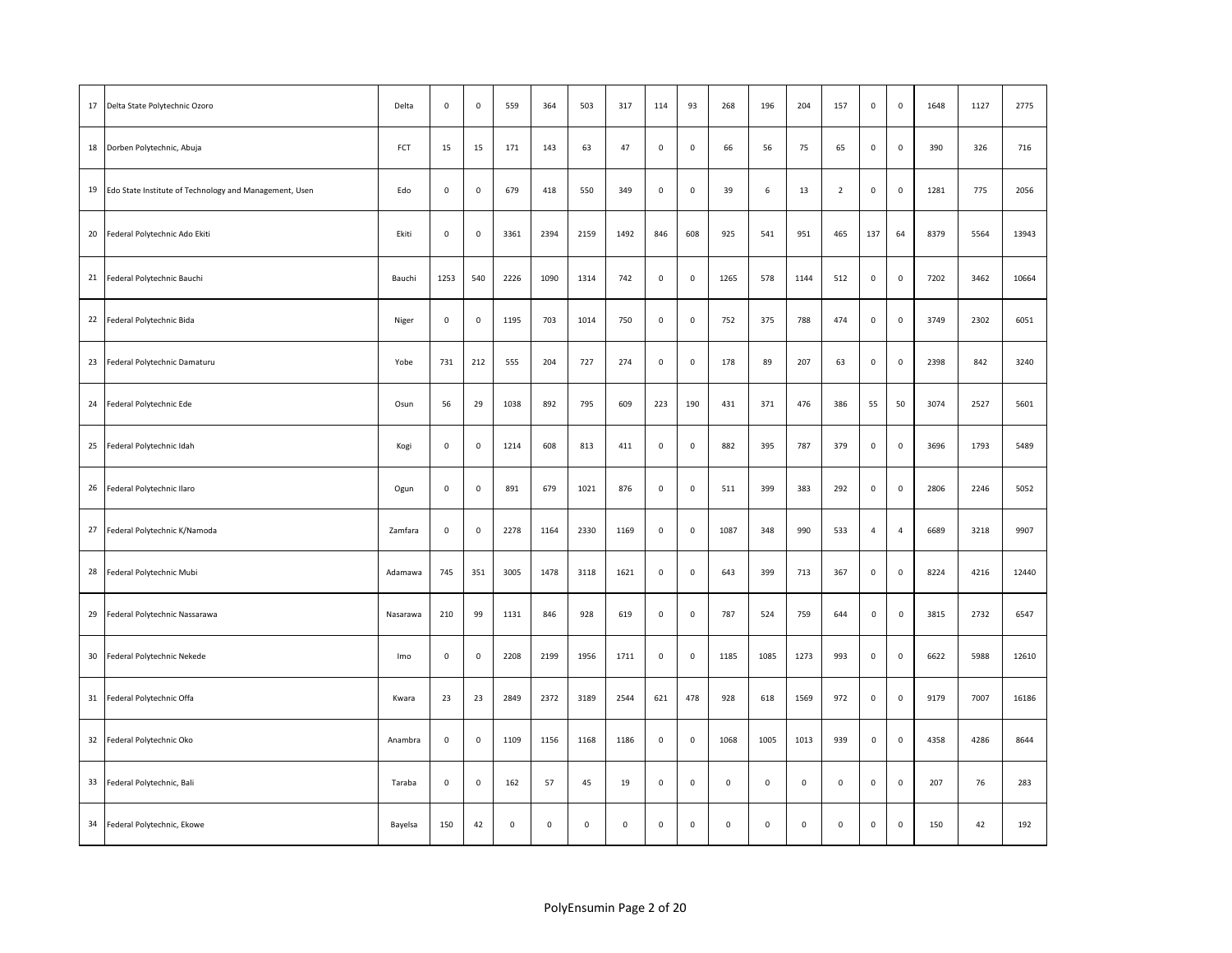| 17 | Delta State Polytechnic Ozoro                          | Delta    | $\mathsf{O}\xspace$ | $\mathbf 0$         | 559         | 364            | 503         | 317                 | 114         | 93                  | 268            | 196         | 204         | 157            | $\mathsf{O}\xspace$ | $\mathsf{O}\xspace$ | 1648 | 1127 | 2775  |
|----|--------------------------------------------------------|----------|---------------------|---------------------|-------------|----------------|-------------|---------------------|-------------|---------------------|----------------|-------------|-------------|----------------|---------------------|---------------------|------|------|-------|
|    | 18 Dorben Polytechnic, Abuja                           | FCT      | 15                  | 15                  | 171         | 143            | 63          | 47                  | $\mathbf 0$ | $\mathsf{O}\xspace$ | 66             | 56          | 75          | 65             | $\mathsf{O}\xspace$ | $\mathsf 0$         | 390  | 326  | 716   |
| 19 | Edo State Institute of Technology and Management, Usen | Edo      | $\mathsf 0$         | $\mathbf 0$         | 679         | 418            | 550         | 349                 | $\mathsf 0$ | $\mathsf 0$         | 39             | 6           | 13          | $\overline{2}$ | $\mathsf 0$         | $\mathsf 0$         | 1281 | 775  | 2056  |
| 20 | Federal Polytechnic Ado Ekiti                          | Ekiti    | $\mathsf 0$         | $\mathsf 0$         | 3361        | 2394           | 2159        | 1492                | 846         | 608                 | 925            | 541         | 951         | 465            | 137                 | 64                  | 8379 | 5564 | 13943 |
|    | 21 Federal Polytechnic Bauchi                          | Bauchi   | 1253                | 540                 | 2226        | 1090           | 1314        | 742                 | $\mathsf 0$ | $\mathsf 0$         | 1265           | 578         | 1144        | 512            | 0                   | $\mathbf 0$         | 7202 | 3462 | 10664 |
|    | 22 Federal Polytechnic Bida                            | Niger    | $\mathsf 0$         | $\mathbf 0$         | 1195        | 703            | 1014        | 750                 | $\mathsf 0$ | $\mathsf 0$         | 752            | 375         | 788         | 474            | $\mathsf 0$         | $\mathsf 0$         | 3749 | 2302 | 6051  |
| 23 | Federal Polytechnic Damaturu                           | Yobe     | 731                 | 212                 | 555         | 204            | 727         | 274                 | $\mathsf 0$ | $\mathsf{O}\xspace$ | 178            | 89          | 207         | 63             | $\mathsf{O}\xspace$ | $\mathsf 0$         | 2398 | 842  | 3240  |
|    | 24 Federal Polytechnic Ede                             | Osun     | 56                  | 29                  | 1038        | 892            | 795         | 609                 | 223         | 190                 | 431            | 371         | 476         | 386            | 55                  | 50                  | 3074 | 2527 | 5601  |
| 25 | Federal Polytechnic Idah                               | Kogi     | $\mathsf{o}\,$      | $\mathsf{O}\xspace$ | 1214        | 608            | 813         | 411                 | $\mathbf 0$ | $\mathsf{O}\xspace$ | 882            | 395         | 787         | 379            | $\mathbf 0$         | $\mathsf 0$         | 3696 | 1793 | 5489  |
| 26 | Federal Polytechnic Ilaro                              | Ogun     | $\mathbf 0$         | $\mathsf 0$         | 891         | 679            | 1021        | 876                 | $\mathsf 0$ | $\mathsf 0$         | 511            | 399         | 383         | 292            | 0                   | $\mathsf 0$         | 2806 | 2246 | 5052  |
| 27 | Federal Polytechnic K/Namoda                           | Zamfara  | $\mathbf 0$         | $\mathsf 0$         | 2278        | 1164           | 2330        | 1169                | $\mathsf 0$ | $\mathsf 0$         | 1087           | 348         | 990         | 533            | $\overline{4}$      | $\overline{4}$      | 6689 | 3218 | 9907  |
| 28 | Federal Polytechnic Mubi                               | Adamawa  | 745                 | 351                 | 3005        | 1478           | 3118        | 1621                | $\mathsf 0$ | $\mathsf 0$         | 643            | 399         | 713         | 367            | $\mathsf 0$         | $\mathsf 0$         | 8224 | 4216 | 12440 |
| 29 | Federal Polytechnic Nassarawa                          | Nasarawa | 210                 | 99                  | 1131        | 846            | 928         | 619                 | $\mathsf 0$ | $\mathsf 0$         | 787            | 524         | 759         | 644            | $\mathsf 0$         | $\mathsf 0$         | 3815 | 2732 | 6547  |
| 30 | Federal Polytechnic Nekede                             | Imo      | $\mathsf 0$         | $\mathsf 0$         | 2208        | 2199           | 1956        | 1711                | $\mathsf 0$ | $\mathsf 0$         | 1185           | 1085        | 1273        | 993            | $\mathsf{O}\xspace$ | $\mathbf 0$         | 6622 | 5988 | 12610 |
|    | 31 Federal Polytechnic Offa                            | Kwara    | 23                  | 23                  | 2849        | 2372           | 3189        | 2544                | 621         | 478                 | 928            | 618         | 1569        | 972            | 0                   | $\mathsf{O}\xspace$ | 9179 | 7007 | 16186 |
| 32 | Federal Polytechnic Oko                                | Anambra  | $\mathbf 0$         | $\mathsf 0$         | 1109        | 1156           | 1168        | 1186                | $\mathsf 0$ | $\mathsf 0$         | 1068           | 1005        | 1013        | 939            | $\mathsf 0$         | $\mathsf{O}\xspace$ | 4358 | 4286 | 8644  |
| 33 | Federal Polytechnic, Bali                              | Taraba   | $\mathsf 0$         | $\mathbf 0$         | 162         | 57             | 45          | 19                  | $\mathsf 0$ | $\mathsf 0$         | $\mathsf 0$    | $\mathsf 0$ | $\mathsf 0$ | 0              | $\mathsf 0$         | $\mathsf 0$         | 207  | 76   | 283   |
|    | 34 Federal Polytechnic, Ekowe                          | Bayelsa  | 150                 | 42                  | $\mathsf 0$ | $\mathsf{o}\,$ | $\mathsf 0$ | $\mathsf{O}\xspace$ | $\mathsf 0$ | $\mathsf 0$         | $\mathsf{o}\,$ | $\mathsf 0$ | $\mathsf 0$ | 0              | $\mathsf 0$         | $\mathsf{O}$        | 150  | 42   | 192   |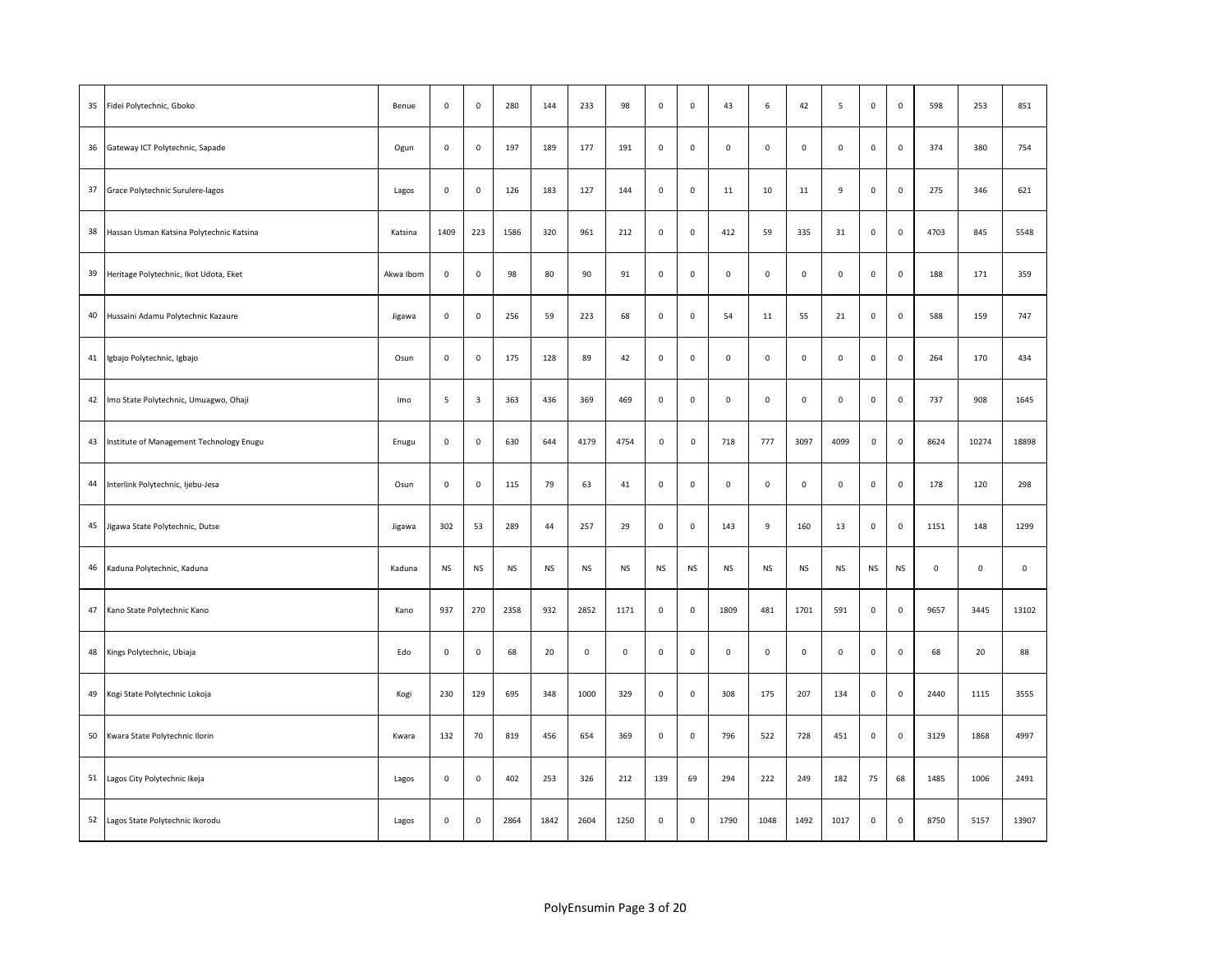| 35 | Fidei Polytechnic, Gboko                 | Benue     | $\mathsf 0$ | $\mathsf{o}\,$          | 280       | 144       | 233         | 98                  | $\mathsf 0$ | $\mathsf{o}\,$ | 43                  | $\,6\,$      | 42          | 5                   | $\mathsf 0$         | $\mathsf 0$         | 598                 | 253                 | 851         |
|----|------------------------------------------|-----------|-------------|-------------------------|-----------|-----------|-------------|---------------------|-------------|----------------|---------------------|--------------|-------------|---------------------|---------------------|---------------------|---------------------|---------------------|-------------|
| 36 | Gateway ICT Polytechnic, Sapade          | Ogun      | $\mathsf 0$ | $\mathbf 0$             | 197       | 189       | 177         | 191                 | $\mathsf 0$ | $\mathbf 0$    | $\mathsf 0$         | $\mathsf 0$  | $\mathsf 0$ | 0                   | $\mathsf 0$         | $\mathsf 0$         | 374                 | 380                 | 754         |
| 37 | Grace Polytechnic Surulere-lagos         | Lagos     | $\mathbf 0$ | $\mathsf{O}\xspace$     | 126       | 183       | 127         | 144                 | $\mathsf 0$ | $\mathsf{o}\,$ | 11                  | 10           | $11\,$      | 9                   | $\mathsf 0$         | $\mathsf 0$         | 275                 | 346                 | 621         |
| 38 | Hassan Usman Katsina Polytechnic Katsina | Katsina   | 1409        | 223                     | 1586      | 320       | 961         | 212                 | $\mathsf 0$ | $\mathbf 0$    | 412                 | 59           | 335         | 31                  | 0                   | $\mathsf{O}\xspace$ | 4703                | 845                 | 5548        |
| 39 | Heritage Polytechnic, Ikot Udota, Eket   | Akwa Ibom | $\mathbf 0$ | $\mathsf 0$             | 98        | 80        | 90          | 91                  | $\mathsf 0$ | $\mathsf{o}\,$ | $\mathsf{O}\xspace$ | $\mathsf{O}$ | $\mathbf 0$ | $\mathsf{O}\xspace$ | $\mathsf 0$         | $\mathbf 0$         | 188                 | 171                 | 359         |
|    | 40 Hussaini Adamu Polytechnic Kazaure    | Jigawa    | $\mathsf 0$ | $\mathsf 0$             | 256       | 59        | 223         | 68                  | $\mathsf 0$ | $\mathsf 0$    | 54                  | $11\,$       | 55          | ${\bf 21}$          | $\mathsf{O}\xspace$ | $\mathbf 0$         | 588                 | 159                 | 747         |
| 41 | Igbajo Polytechnic, Igbajo               | Osun      | $\mathsf 0$ | $\mathbf 0$             | 175       | 128       | 89          | 42                  | $\mathsf 0$ | $\mathsf 0$    | $\mathsf 0$         | $\mathsf 0$  | $\mathsf 0$ | 0                   | 0                   | $\mathsf 0$         | 264                 | 170                 | 434         |
|    | 42 Imo State Polytechnic, Umuagwo, Ohaji | Imo       | 5           | $\overline{\mathbf{3}}$ | 363       | 436       | 369         | 469                 | $\mathsf 0$ | $\mathsf 0$    | $\mathsf 0$         | $\mathsf 0$  | $\mathsf 0$ | $\mathsf{O}\xspace$ | $\mathsf{O}\xspace$ | $\mathsf 0$         | 737                 | 908                 | 1645        |
| 43 | Institute of Management Technology Enugu | Enugu     | $\mathbf 0$ | $\mathsf{O}\xspace$     | 630       | 644       | 4179        | 4754                | $\mathsf 0$ | $\mathsf 0$    | 718                 | 777          | 3097        | 4099                | $\mathsf 0$         | $\mathsf 0$         | 8624                | 10274               | 18898       |
|    | 44 Interlink Polytechnic, Ijebu-Jesa     | Osun      | $\mathsf 0$ | $\mathsf{O}\xspace$     | 115       | 79        | 63          | 41                  | $\mathsf 0$ | $\mathsf 0$    | $\mathsf{O}\xspace$ | $\mathsf 0$  | $\mathsf 0$ | $\mathsf{O}\xspace$ | $\mathsf 0$         | $\mathsf 0$         | 178                 | 120                 | 298         |
| 45 | Jigawa State Polytechnic, Dutse          | Jigawa    | 302         | 53                      | 289       | 44        | 257         | 29                  | $\mathsf 0$ | $\mathsf 0$    | 143                 | 9            | 160         | 13                  | 0                   | $\mathsf 0$         | 1151                | 148                 | 1299        |
|    | 46 Kaduna Polytechnic, Kaduna            | Kaduna    | <b>NS</b>   | NS                      | <b>NS</b> | <b>NS</b> | <b>NS</b>   | <b>NS</b>           | <b>NS</b>   | <b>NS</b>      | NS                  | <b>NS</b>    | <b>NS</b>   | <b>NS</b>           | <b>NS</b>           | <b>NS</b>           | $\mathsf{O}\xspace$ | $\mathsf{O}\xspace$ | $\mathbf 0$ |
| 47 | Kano State Polytechnic Kano              | Kano      | 937         | 270                     | 2358      | 932       | 2852        | 1171                | $\mathsf 0$ | $\mathsf 0$    | 1809                | 481          | 1701        | 591                 | $\mathsf 0$         | $\mathsf{O}\xspace$ | 9657                | 3445                | 13102       |
| 48 | Kings Polytechnic, Ubiaja                | Edo       | $\mathsf 0$ | $\mathsf{O}\xspace$     | 68        | 20        | $\mathsf 0$ | $\mathsf{O}\xspace$ | $\mathsf 0$ | $\mathsf{o}\,$ | $\mathsf{O}\xspace$ | $\mathsf 0$  | $\mathsf 0$ | $\mathsf{O}\xspace$ | $\mathsf{O}\xspace$ | $\mathsf 0$         | 68                  | 20                  | 88          |
| 49 | Kogi State Polytechnic Lokoja            | Kogi      | 230         | 129                     | 695       | 348       | 1000        | 329                 | $\mathsf 0$ | $\mathsf 0$    | 308                 | 175          | 207         | 134                 | 0                   | $\mathsf{O}\xspace$ | 2440                | 1115                | 3555        |
| 50 | Kwara State Polytechnic Ilorin           | Kwara     | 132         | 70                      | 819       | 456       | 654         | 369                 | $\mathsf 0$ | $\mathsf{o}\,$ | 796                 | 522          | 728         | 451                 | $\mathsf 0$         | $\mathsf 0$         | 3129                | 1868                | 4997        |
|    | 51 Lagos City Polytechnic Ikeja          | Lagos     | $\mathsf 0$ | $\mathbf 0$             | 402       | 253       | 326         | 212                 | 139         | 69             | 294                 | 222          | 249         | 182                 | 75                  | 68                  | 1485                | 1006                | 2491        |
|    | 52 Lagos State Polytechnic Ikorodu       | Lagos     | $\mathsf 0$ | 0                       | 2864      | 1842      | 2604        | 1250                | $\mathsf 0$ | $\mathsf 0$    | 1790                | 1048         | 1492        | 1017                | $\mathsf 0$         | $\mathbf 0$         | 8750                | 5157                | 13907       |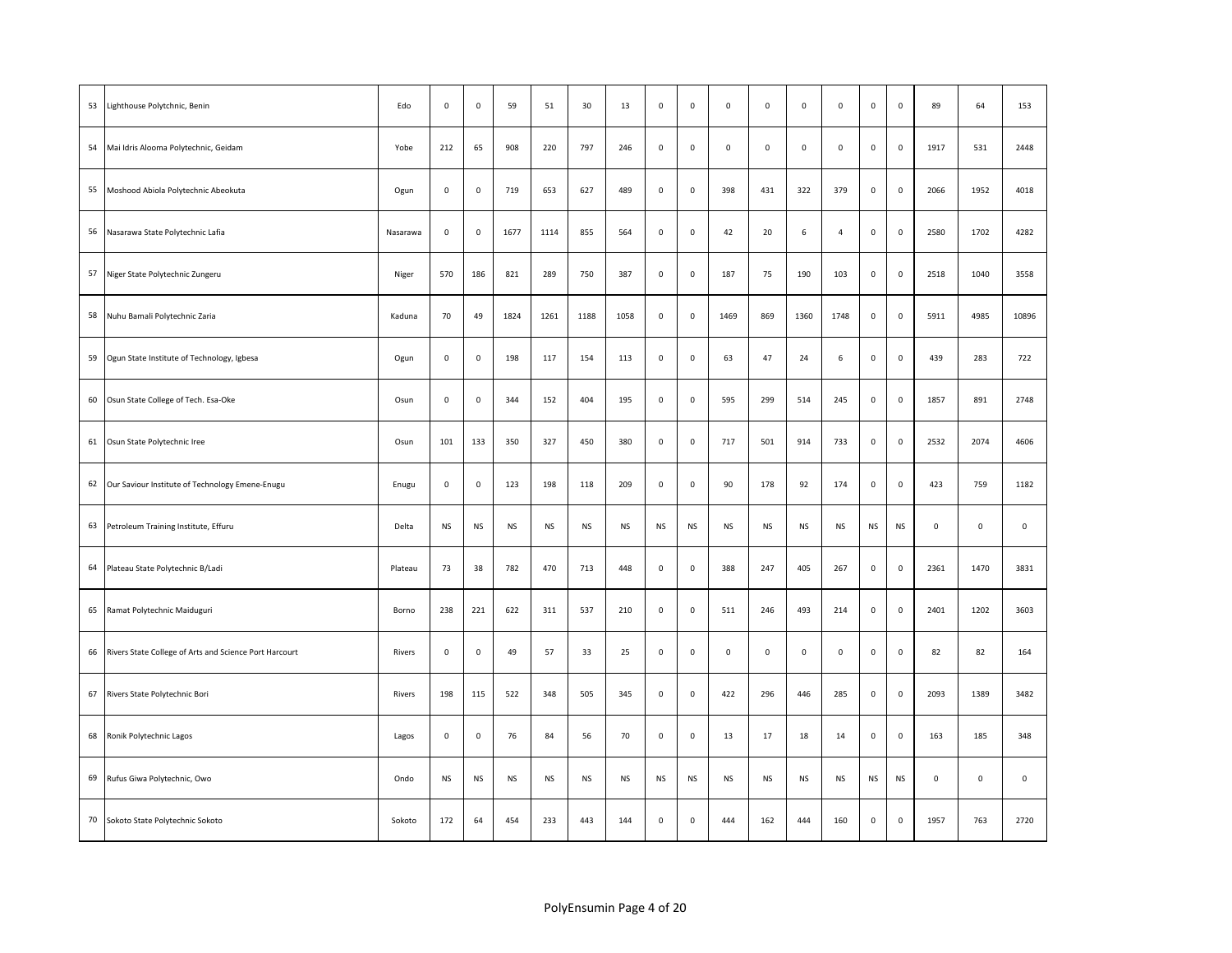| 53 | Lighthouse Polytchnic, Benin                              | Edo      | $\mathsf 0$ | $\mathsf 0$ | 59        | 51        | 30        | 13        | $\mathsf 0$ | $\mathsf 0$ | $\mathsf 0$         | $\mathsf{O}\xspace$ | $\mathsf 0$ | $\mathsf{O}\xspace$ | $\mathsf 0$         | $\mathsf 0$         | 89                  | 64                  | 153         |
|----|-----------------------------------------------------------|----------|-------------|-------------|-----------|-----------|-----------|-----------|-------------|-------------|---------------------|---------------------|-------------|---------------------|---------------------|---------------------|---------------------|---------------------|-------------|
| 54 | Mai Idris Alooma Polytechnic, Geidam                      | Yobe     | 212         | 65          | 908       | 220       | 797       | 246       | $\mathsf 0$ | 0           | $\mathsf 0$         | $\mathsf 0$         | $\mathsf 0$ | $\mathbf 0$         | $\mathsf 0$         | $\mathsf 0$         | 1917                | 531                 | 2448        |
| 55 | Moshood Abiola Polytechnic Abeokuta                       | Ogun     | $\mathsf 0$ | $\mathsf 0$ | 719       | 653       | 627       | 489       | $\mathsf 0$ | $\mathsf 0$ | 398                 | 431                 | 322         | 379                 | $\mathsf 0$         | $\mathsf 0$         | 2066                | 1952                | 4018        |
| 56 | Nasarawa State Polytechnic Lafia                          | Nasarawa | $\mathsf 0$ | $\mathsf 0$ | 1677      | 1114      | 855       | 564       | $\mathsf 0$ | $\mathsf 0$ | 42                  | 20                  | 6           | $\overline{a}$      | $\mathsf 0$         | $\mathsf{O}\xspace$ | 2580                | 1702                | 4282        |
| 57 | Niger State Polytechnic Zungeru                           | Niger    | 570         | 186         | 821       | 289       | 750       | 387       | $\mathsf 0$ | $\mathsf 0$ | 187                 | 75                  | 190         | 103                 | $\mathsf 0$         | $\mathsf 0$         | 2518                | 1040                | 3558        |
|    | 58 Nuhu Bamali Polytechnic Zaria                          | Kaduna   | 70          | 49          | 1824      | 1261      | 1188      | 1058      | $\mathsf 0$ | $\mathsf 0$ | 1469                | 869                 | 1360        | 1748                | $\mathsf{O}\xspace$ | $\mathsf 0$         | 5911                | 4985                | 10896       |
| 59 | Ogun State Institute of Technology, Igbesa                | Ogun     | $\mathsf 0$ | $\mathsf 0$ | 198       | 117       | 154       | 113       | $\mathsf 0$ | 0           | 63                  | 47                  | 24          | 6                   | 0                   | $\mathsf 0$         | 439                 | 283                 | 722         |
| 60 | Osun State College of Tech. Esa-Oke                       | Osun     | $\mathsf 0$ | $\mathsf 0$ | 344       | 152       | 404       | 195       | $\mathsf 0$ | $\mathsf 0$ | 595                 | 299                 | 514         | 245                 | $\mathsf{O}\xspace$ | $\mathsf 0$         | 1857                | 891                 | 2748        |
| 61 | Osun State Polytechnic Iree                               | Osun     | 101         | 133         | 350       | 327       | 450       | 380       | $\mathsf 0$ | $\mathsf 0$ | 717                 | 501                 | 914         | 733                 | $\mathsf 0$         | $\mathsf 0$         | 2532                | 2074                | 4606        |
|    | 62 Our Saviour Institute of Technology Emene-Enugu        | Enugu    | $\mathsf 0$ | $\mathsf 0$ | 123       | 198       | 118       | 209       | $\mathsf 0$ | $\mathsf 0$ | 90                  | 178                 | 92          | 174                 | $\mathsf 0$         | $\mathsf 0$         | 423                 | 759                 | 1182        |
| 63 | Petroleum Training Institute, Effuru                      | Delta    | <b>NS</b>   | <b>NS</b>   | <b>NS</b> | <b>NS</b> | <b>NS</b> | NS        | <b>NS</b>   | <b>NS</b>   | <b>NS</b>           | <b>NS</b>           | <b>NS</b>   | <b>NS</b>           | <b>NS</b>           | <b>NS</b>           | $\mathsf{O}\xspace$ | $\mathsf{O}\xspace$ | $\mathbf 0$ |
| 64 | Plateau State Polytechnic B/Ladi                          | Plateau  | 73          | 38          | 782       | 470       | 713       | 448       | $\mathsf 0$ | $\mathbf 0$ | 388                 | 247                 | 405         | 267                 | $\mathbf 0$         | $\mathsf 0$         | 2361                | 1470                | 3831        |
| 65 | Ramat Polytechnic Maiduguri                               | Borno    | 238         | 221         | 622       | 311       | 537       | 210       | $\mathsf 0$ | $\mathsf 0$ | 511                 | 246                 | 493         | 214                 | $\mathsf 0$         | $\mathsf{O}\xspace$ | 2401                | 1202                | 3603        |
|    | 66 Rivers State College of Arts and Science Port Harcourt | Rivers   | $\mathsf 0$ | $\mathsf 0$ | 49        | 57        | 33        | 25        | $\mathsf 0$ | $\mathsf 0$ | $\mathsf{O}\xspace$ | $\mathsf{O}\xspace$ | $\mathsf 0$ | $\mathsf 0$         | $\mathsf 0$         | $\mathsf 0$         | 82                  | 82                  | 164         |
| 67 | Rivers State Polytechnic Bori                             | Rivers   | 198         | 115         | 522       | 348       | 505       | 345       | $\mathsf 0$ | $\mathsf 0$ | 422                 | 296                 | 446         | 285                 | 0                   | $\mathsf 0$         | 2093                | 1389                | 3482        |
| 68 | Ronik Polytechnic Lagos                                   | Lagos    | $\mathsf 0$ | $\mathsf 0$ | 76        | 84        | 56        | 70        | $\mathsf 0$ | $\mathsf 0$ | 13                  | 17                  | 18          | 14                  | $\mathsf 0$         | $\mathsf 0$         | 163                 | 185                 | 348         |
| 69 | Rufus Giwa Polytechnic, Owo                               | Ondo     | <b>NS</b>   | <b>NS</b>   | <b>NS</b> | <b>NS</b> | <b>NS</b> | <b>NS</b> | <b>NS</b>   | <b>NS</b>   | <b>NS</b>           | <b>NS</b>           | <b>NS</b>   | <b>NS</b>           | <b>NS</b>           | <b>NS</b>           | $\mathsf 0$         | $\mathsf 0$         | $\mathsf 0$ |
|    | 70 Sokoto State Polytechnic Sokoto                        | Sokoto   | 172         | 64          | 454       | 233       | 443       | 144       | $\mathsf 0$ | $\mathsf 0$ | 444                 | 162                 | 444         | 160                 | $\mathsf 0$         | $\mathbf 0$         | 1957                | 763                 | 2720        |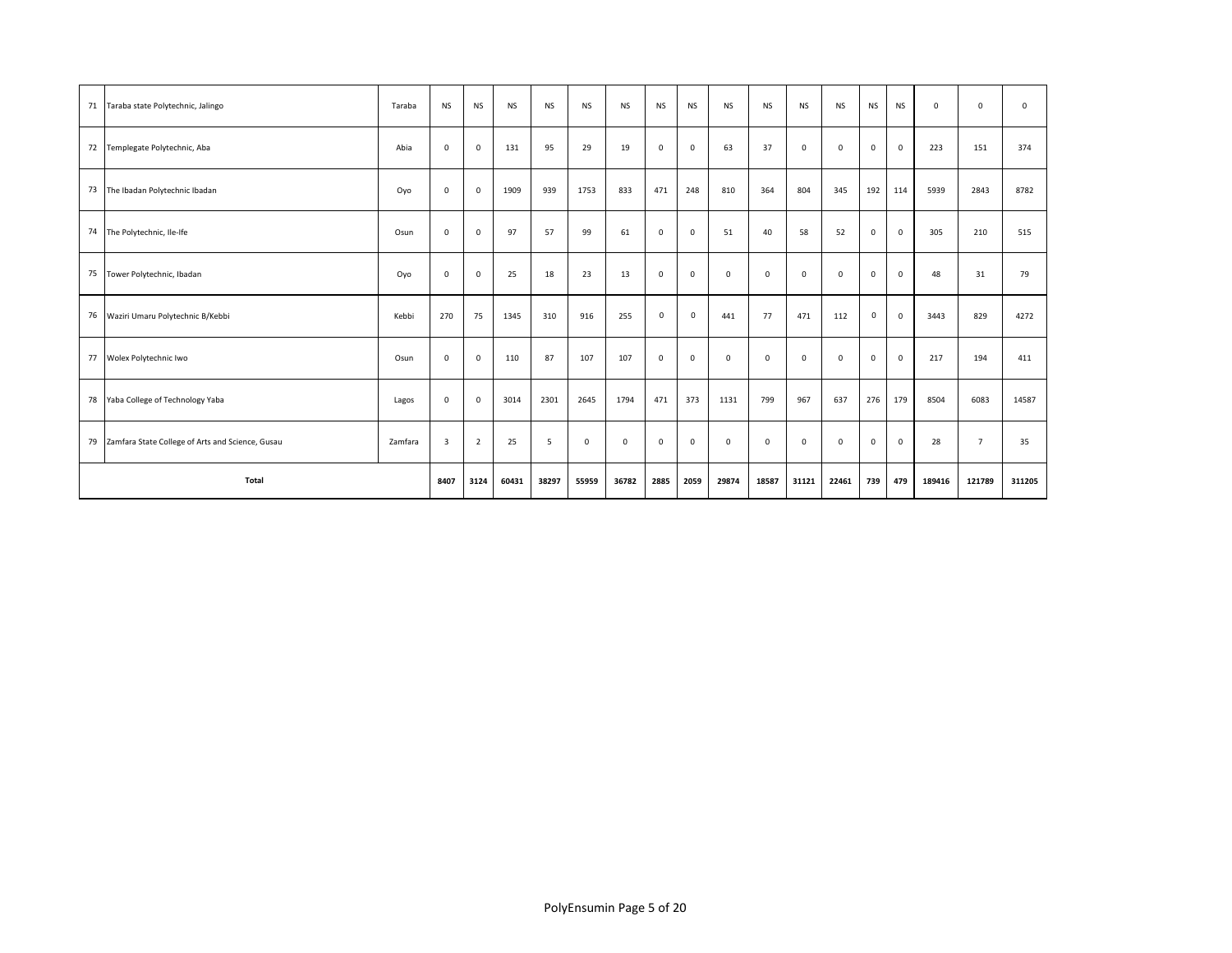|    | 71 Taraba state Polytechnic, Jalingo                | Taraba  | <b>NS</b>      | <b>NS</b>      | <b>NS</b> | <b>NS</b> | <b>NS</b>   | <b>NS</b>    | <b>NS</b>   | <b>NS</b>   | <b>NS</b>    | <b>NS</b>   | <b>NS</b>   | <b>NS</b>   | <b>NS</b>   | <b>NS</b>    | $\mathsf 0$ | $\mathbf 0$    | $\mathbf{0}$ |
|----|-----------------------------------------------------|---------|----------------|----------------|-----------|-----------|-------------|--------------|-------------|-------------|--------------|-------------|-------------|-------------|-------------|--------------|-------------|----------------|--------------|
|    | 72 Templegate Polytechnic, Aba                      | Abia    | $\mathsf 0$    | 0              | 131       | 95        | 29          | 19           | 0           | $\mathbf 0$ | 63           | 37          | 0           | 0           | $\mathsf 0$ | 0            | 223         | 151            | 374          |
|    | 73 The Ibadan Polytechnic Ibadan                    | Oyo     | $\mathbf 0$    | $\mathbf 0$    | 1909      | 939       | 1753        | 833          | 471         | 248         | 810          | 364         | 804         | 345         | 192         | 114          | 5939        | 2843           | 8782         |
|    | 74 The Polytechnic, Ile-Ife                         | Osun    | $\mathbf 0$    | $\mathbf 0$    | 97        | 57        | 99          | 61           | $\mathbf 0$ | $\mathbf 0$ | 51           | 40          | 58          | 52          | $\mathsf 0$ | $\mathbf 0$  | 305         | 210            | 515          |
| 75 | Tower Polytechnic, Ibadan                           | Oyo     | $\mathsf 0$    | $\mathbf 0$    | 25        | 18        | 23          | 13           | $\mathbf 0$ | $\mathbf 0$ | $\mathbf 0$  | $\mathbf 0$ | $\mathbf 0$ | $\mathbf 0$ | $\mathsf 0$ | $\mathbf 0$  | 48          | 31             | 79           |
|    | 76 Waziri Umaru Polytechnic B/Kebbi                 | Kebbi   | 270            | 75             | 1345      | 310       | 916         | 255          | 0           | $\mathbf 0$ | 441          | 77          | 471         | 112         | $\mathbf 0$ | $\mathbf{0}$ | 3443        | 829            | 4272         |
|    | 77 Wolex Polytechnic Iwo                            | Osun    | $\mathbf 0$    | 0              | 110       | 87        | 107         | 107          | 0           | $\mathsf 0$ | $\mathbf 0$  | $\mathbf 0$ | $\mathsf 0$ | $^{\circ}$  | $\mathsf 0$ | $\mathbf 0$  | 217         | 194            | 411          |
|    | 78 Yaba College of Technology Yaba                  | Lagos   | $\mathbf 0$    | $\mathbf 0$    | 3014      | 2301      | 2645        | 1794         | 471         | 373         | 1131         | 799         | 967         | 637         | 276         | 179          | 8504        | 6083           | 14587        |
|    | 79 Zamfara State College of Arts and Science, Gusau | Zamfara | $\overline{3}$ | $\overline{2}$ | 25        | 5         | $\mathbf 0$ | $\mathbf{0}$ | 0           | $^{\circ}$  | $\mathbf{0}$ | $^{\circ}$  | $\mathbf 0$ | $^{\circ}$  | $\mathbf 0$ | $\mathbf 0$  | 28          | $\overline{7}$ | 35           |
|    | Total                                               |         | 8407           | 3124           | 60431     | 38297     | 55959       | 36782        | 2885        | 2059        | 29874        | 18587       | 31121       | 22461       | 739         | 479          | 189416      | 121789         | 311205       |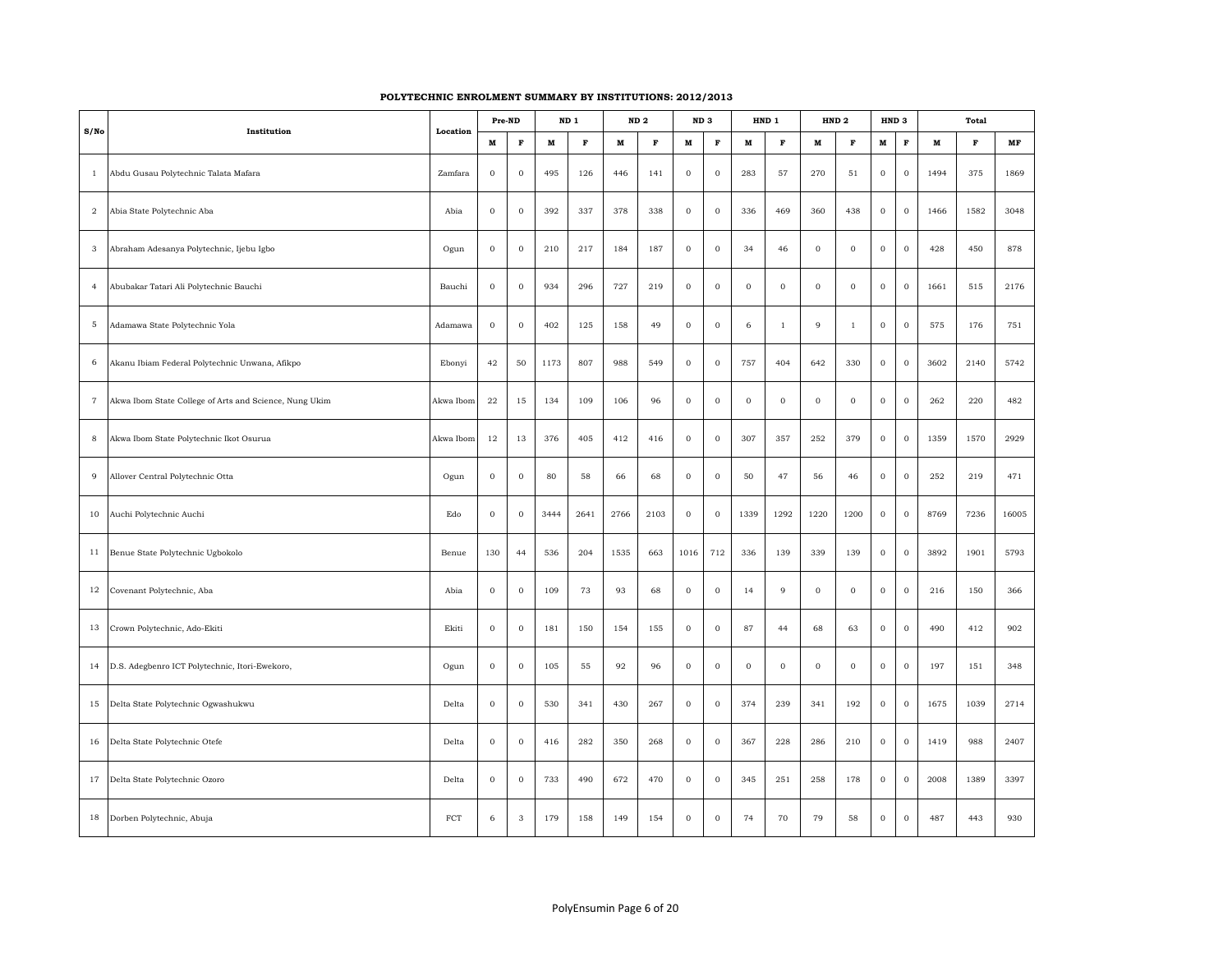| S/No           | Institution                                            | Location     | Pre-ND       |              |             | ND <sub>1</sub> |             | ND <sub>2</sub> | ND <sub>3</sub> |              |              | HND 1          |                | HND <sub>2</sub> | HND <sub>3</sub> |              |              | <b>Total</b> |       |
|----------------|--------------------------------------------------------|--------------|--------------|--------------|-------------|-----------------|-------------|-----------------|-----------------|--------------|--------------|----------------|----------------|------------------|------------------|--------------|--------------|--------------|-------|
|                |                                                        |              | $\mathbf M$  | $\mathbf F$  | $\mathbf M$ | $\mathbf F$     | $\mathbf M$ | $\mathbf F$     | $\mathbf M$     | $\mathbf F$  | $\mathbf M$  | $\mathbf F$    | $\mathbf M$    | $\mathbf F$      | $\mathbf{M}$     | $\mathbf F$  | $\mathbf{M}$ | $\mathbf F$  | MF    |
| $\mathbf{1}$   | Abdu Gusau Polytechnic Talata Mafara                   | Zamfara      | $\bf{0}$     | $\mathbf 0$  | 495         | 126             | 446         | 141             | $\mathbf 0$     | $\mathbf{0}$ | 283          | 57             | 270            | 51               | $\mathbf{0}$     | $\mathbf 0$  | 1494         | 375          | 1869  |
| $\sqrt{2}$     | Abia State Polytechnic Aba                             | Abia         | $\,$ 0 $\,$  | $\mathbf 0$  | 392         | 337             | 378         | 338             | $\mathbf 0$     | $\mathbf 0$  | 336          | 469            | 360            | 438              | $\,$ 0 $\,$      | $\mathbf 0$  | 1466         | 1582         | 3048  |
| $_{\rm 3}$     | Abraham Adesanya Polytechnic, Ijebu Igbo               | Ogun         | $\bf{0}$     | $\bf{0}$     | 210         | 217             | 184         | 187             | $\mathbf 0$     | $\mathbf 0$  | 34           | 46             | $\mathbf 0$    | $\mathbf 0$      | $\mathbf 0$      | $\mathbf 0$  | 428          | 450          | 878   |
| $\overline{4}$ | Abubakar Tatari Ali Polytechnic Bauchi                 | Bauchi       | $\bf{0}$     | $\mathbf 0$  | 934         | 296             | 727         | 219             | $\mathbf 0$     | $\mathbf 0$  | $\mathbf 0$  | $\mathbf 0$    | $\mathbf{0}$   | $\mathbf 0$      | $\mathbf 0$      | $\mathbf 0$  | 1661         | 515          | 2176  |
| $\mathbf 5$    | Adamawa State Polytechnic Yola                         | Adamawa      | $\bf{0}$     | $\mathbf 0$  | 402         | 125             | 158         | 49              | $\mathbf{O}$    | $\mathbf 0$  | 6            | $\mathbf{1}$   | $\overline{9}$ | $\mathbf{1}$     | $\mathbf 0$      | $\mathbf 0$  | 575          | 176          | 751   |
| 6              | Akanu Ibiam Federal Polytechnic Unwana, Afikpo         | Ebonyi       | 42           | 50           | 1173        | 807             | 988         | 549             | $\mathbf 0$     | $\mathbf 0$  | 757          | 404            | 642            | 330              | $\bf{0}$         | $\,0\,$      | 3602         | 2140         | 5742  |
| $\overline{7}$ | Akwa Ibom State College of Arts and Science, Nung Ukim | Akwa Ibom    | 22           | 15           | 134         | 109             | 106         | 96              | $\mathbf 0$     | $\mathbf 0$  | $\mathbf{0}$ | $\bf 0$        | $\mathbf 0$    | $\mathbf 0$      | $\mathbf{0}$     | $\mathbf 0$  | 262          | 220          | 482   |
| 8              | Akwa Ibom State Polytechnic Ikot Osurua                | Akwa Ibom    | 12           | 13           | 376         | 405             | 412         | 416             | $\mathbf 0$     | $\mathbf 0$  | 307          | 357            | 252            | 379              | $\mathbf{0}$     | $\mathbf 0$  | 1359         | 1570         | 2929  |
| 9              | Allover Central Polytechnic Otta                       | Ogun         | $\,$ 0 $\,$  | $\,$ 0 $\,$  | 80          | 58              | 66          | 68              | $\,$ 0 $\,$     | $\,$ 0 $\,$  | 50           | $47\,$         | 56             | 46               | $\,$ 0 $\,$      | $\,0\,$      | 252          | 219          | 471   |
| 10             | Auchi Polytechnic Auchi                                | Edo          | $\mathbf{0}$ | $\mathbf 0$  | 3444        | 2641            | 2766        | 2103            | $\mathbf{0}$    | $\mathbf{0}$ | 1339         | 1292           | 1220           | 1200             | $\mathbf{0}$     | $\mathbf 0$  | 8769         | 7236         | 16005 |
| 11             | Benue State Polytechnic Ugbokolo                       | Benue        | 130          | 44           | 536         | 204             | 1535        | 663             | 1016            | 712          | 336          | 139            | 339            | 139              | $\,$ 0 $\,$      | $\,$ 0 $\,$  | 3892         | 1901         | 5793  |
| $12\,$         | Covenant Polytechnic, Aba                              | Abia         | $\mathbf{0}$ | $\mathbf{0}$ | 109         | 73              | 93          | 68              | $\,0\,$         | $\,$ 0 $\,$  | 14           | $\overline{9}$ | $\,0\,$        | $\,0\,$          | $\mathbf 0$      | $\,0\,$      | 216          | 150          | 366   |
| 13             | Crown Polytechnic, Ado-Ekiti                           | Ekiti        | $\bf 0$      | $\mathbf{0}$ | 181         | 150             | 154         | 155             | $\mathbf 0$     | $\mathbf 0$  | 87           | 44             | 68             | 63               | $\mathbf 0$      | $\mathbf 0$  | 490          | 412          | 902   |
|                | 14 D.S. Adegbenro ICT Polytechnic, Itori-Ewekoro,      | Ogun         | $\bf{0}$     | $\bf{0}$     | 105         | 55              | 92          | 96              | $\,$ 0 $\,$     | $\mathbf 0$  | $\mathbf 0$  | $\,$ 0 $\,$    | $\mathbf 0$    | $\mathbf 0$      | $\mathbf 0$      | $\,0\,$      | 197          | 151          | 348   |
|                | 15 Delta State Polytechnic Ogwashukwu                  | Delta        | $\mathbf{O}$ | $\mathbf{0}$ | 530         | 341             | 430         | 267             | $\mathbf{0}$    | $\mathbf{0}$ | 374          | 239            | 341            | 192              | $\mathbf{0}$     | $\mathbf{0}$ | 1675         | 1039         | 2714  |
|                | 16 Delta State Polytechnic Otefe                       | Delta        | $\,$ 0 $\,$  | $\bf{0}$     | 416         | 282             | 350         | 268             | $\mathbf 0$     | $\mathbf 0$  | 367          | 228            | 286            | 210              | $\mathbf 0$      | $\mathbf 0$  | 1419         | 988          | 2407  |
| 17             | Delta State Polytechnic Ozoro                          | Delta        | $\bf{0}$     | $\mathbf 0$  | 733         | 490             | 672         | 470             | $\,$ 0 $\,$     | $\mathbf 0$  | 345          | 251            | 258            | 178              | $\,$ 0 $\,$      | $\mathbf 0$  | 2008         | 1389         | 3397  |
|                | 18 Dorben Polytechnic, Abuja                           | $_{\rm FCT}$ | 6            | 3            | 179         | 158             | 149         | 154             | $\mathbf{0}$    | $\mathbf 0$  | 74           | 70             | 79             | 58               | $\mathbf{0}$     | $\mathbf 0$  | 487          | 443          | 930   |

## **POLYTECHNIC ENROLMENT SUMMARY BY INSTITUTIONS: 2012/2013**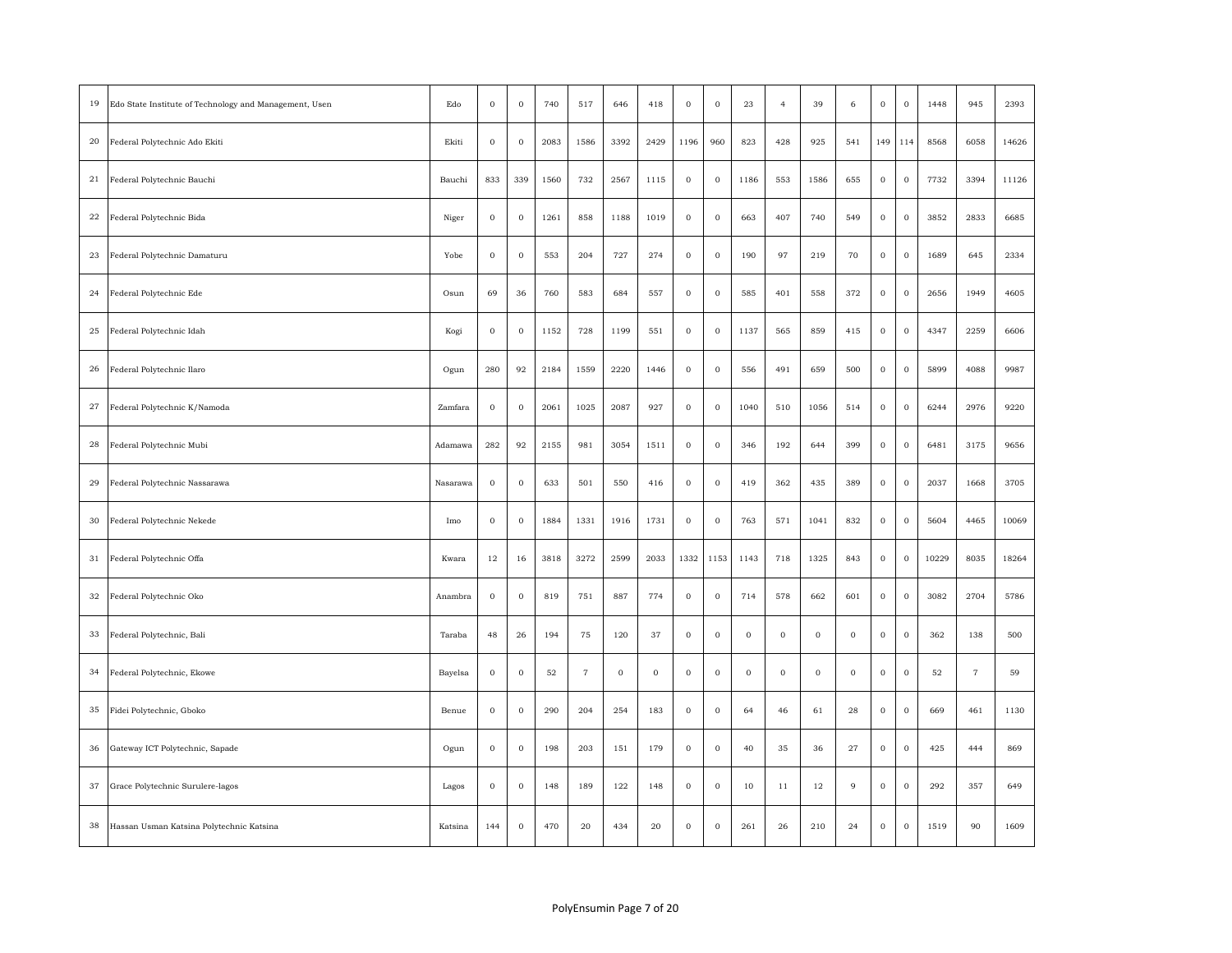| 19          | Edo State Institute of Technology and Management, Usen | Edo      | $\bf{0}$    | $\mathbf 0$ | 740    | 517            | 646    | 418     | $\bf{0}$         | $\bf 0$      | 23          | $\overline{4}$ | 39          | 6              | $\mathbf 0$      | $\bf{0}$    | 1448  | 945                 | 2393  |
|-------------|--------------------------------------------------------|----------|-------------|-------------|--------|----------------|--------|---------|------------------|--------------|-------------|----------------|-------------|----------------|------------------|-------------|-------|---------------------|-------|
| $20\,$      | Federal Polytechnic Ado Ekiti                          | Ekiti    | $\mathbf 0$ | $\,$ O      | 2083   | 1586           | 3392   | 2429    | 1196             | 960          | 823         | 428            | 925         | 541            | 149              | 114         | 8568  | 6058                | 14626 |
| 21          | Federal Polytechnic Bauchi                             | Bauchi   | 833         | 339         | 1560   | 732            | 2567   | 1115    | $\mathbf 0$      | $\mathbf 0$  | 1186        | 553            | 1586        | 655            | $\boldsymbol{0}$ | $\mathbf 0$ | 7732  | 3394                | 11126 |
| 22          | Federal Polytechnic Bida                               | Niger    | $\,$ O      | $\,$ O      | 1261   | 858            | 1188   | 1019    | $\,0\,$          | $\,$ O       | 663         | 407            | 740         | 549            | $\,$ O           | $\,$ 0 $\,$ | 3852  | 2833                | 6685  |
| 23          | Federal Polytechnic Damaturu                           | Yobe     | $\bf{0}$    | $\bf{0}$    | 553    | 204            | 727    | 274     | $\bf{0}$         | $\mathbf{0}$ | 190         | 97             | 219         | 70             | $\mathbf 0$      | $\,0\,$     | 1689  | 645                 | 2334  |
| 24          | Federal Polytechnic Ede                                | Osun     | 69          | 36          | 760    | 583            | 684    | 557     | $\,0\,$          | $\,$ O       | 585         | 401            | 558         | 372            | $\,$ 0 $\,$      | $\,$ 0 $\,$ | 2656  | 1949                | 4605  |
| 25          | Federal Polytechnic Idah                               | Kogi     | $\,$ O      | $\,$ O      | 1152   | 728            | 1199   | 551     | $\,0\,$          | $\,$ 0 $\,$  | 1137        | 565            | 859         | 415            | $\,$ O           | $\,0\,$     | 4347  | 2259                | 6606  |
| 26          | Federal Polytechnic Ilaro                              | Ogun     | 280         | 92          | 2184   | 1559           | 2220   | 1446    | $\,0\,$          | $\,0\,$      | 556         | 491            | 659         | 500            | $\,$ O           | $\,$ 0 $\,$ | 5899  | 4088                | 9987  |
| $^{\rm 27}$ | Federal Polytechnic K/Namoda                           | Zamfara  | $\bf{0}$    | $\,$ O      | 2061   | 1025           | 2087   | 927     | $\,0\,$          | $\mathbf 0$  | 1040        | 510            | 1056        | 514            | $\mathbf 0$      | $\,0\,$     | 6244  | 2976                | 9220  |
| $\bf 28$    | Federal Polytechnic Mubi                               | Adamawa  | 282         | 92          | 2155   | 981            | 3054   | 1511    | $\,0\,$          | $\,$ 0 $\,$  | 346         | 192            | 644         | 399            | $\,$ O           | $\,$ 0 $\,$ | 6481  | 3175                | 9656  |
| 29          | Federal Polytechnic Nassarawa                          | Nasarawa | $\bf{0}$    | $\mathbf 0$ | 633    | 501            | 550    | 416     | $\bf{0}$         | $\mathbf 0$  | 419         | 362            | 435         | 389            | $\mathbf 0$      | $\bf{0}$    | 2037  | 1668                | 3705  |
| 30          | Federal Polytechnic Nekede                             | Imo      | $\,$ 0 $\,$ | $\,$ O      | 1884   | 1331           | 1916   | 1731    | $\,0\,$          | $\,$ 0 $\,$  | 763         | 571            | 1041        | 832            | $\,$ 0 $\,$      | $\,$ 0 $\,$ | 5604  | 4465                | 10069 |
| 31          | Federal Polytechnic Offa                               | Kwara    | 12          | 16          | 3818   | 3272           | 2599   | 2033    | 1332             | 1153         | 1143        | 718            | 1325        | 843            | $\mathbf 0$      | $\,$ 0 $\,$ | 10229 | 8035                | 18264 |
| 32          | Federal Polytechnic Oko                                | Anambra  | $\,$ 0 $\,$ | $\bf{0}$    | 819    | 751            | 887    | 774     | $\,0\,$          | $\,0\,$      | 714         | 578            | 662         | 601            | $\,$ O           | $\,$ 0 $\,$ | 3082  | 2704                | 5786  |
| 33          | Federal Polytechnic, Bali                              | Taraba   | 48          | 26          | 194    | 75             | 120    | 37      | $\,0\,$          | $\,0\,$      | $\mathbf 0$ | $\mathbf 0$    | $\mathbf 0$ | $\mathbf 0$    | $\,$ O           | $\,0\,$     | 362   | 138                 | 500   |
| 34          | Federal Polytechnic, Ekowe                             | Bayelsa  | $\,$ 0 $\,$ | $\bf{0}$    | $52\,$ | $\overline{7}$ | $\,$ O | $\,0\,$ | $\bf{0}$         | $\,$ 0 $\,$  | $\,$ O      | $\,$ 0 $\,$    | $\,$ O      | $\,$ O         | $\,$ 0 $\,$      | $\,$ O      | 52    | $\scriptstyle\rm 7$ | 59    |
| 35          | Fidei Polytechnic, Gboko                               | Benue    | $\bf{0}$    | $\mathbf 0$ | 290    | 204            | 254    | 183     | $\bf{0}$         | $\bf 0$      | 64          | 46             | 61          | 28             | $\mathbf 0$      | $\bf{0}$    | 669   | 461                 | 1130  |
| 36          | Gateway ICT Polytechnic, Sapade                        | Ogun     | $\bf 0$     | $\,$ 0 $\,$ | 198    | 203            | 151    | 179     | $\boldsymbol{0}$ | $\mathbf 0$  | 40          | 35             | 36          | 27             | $\,$ 0 $\,$      | $\,$ 0 $\,$ | 425   | 444                 | 869   |
| 37          | Grace Polytechnic Surulere-lagos                       | Lagos    | $\bf{0}$    | $\mathbf 0$ | 148    | 189            | 122    | 148     | $\bf{0}$         | $\mathbf 0$  | 10          | $1\,1$         | 12          | $\overline{9}$ | $\mathbf 0$      | $\bf{0}$    | 292   | 357                 | 649   |
| 38          | Hassan Usman Katsina Polytechnic Katsina               | Katsina  | 144         | $\bf{0}$    | 470    | $20\,$         | 434    | 20      | $\,$ O           | $\mathbf 0$  | 261         | 26             | 210         | 24             | $\mathbf 0$      | $\,0\,$     | 1519  | 90                  | 1609  |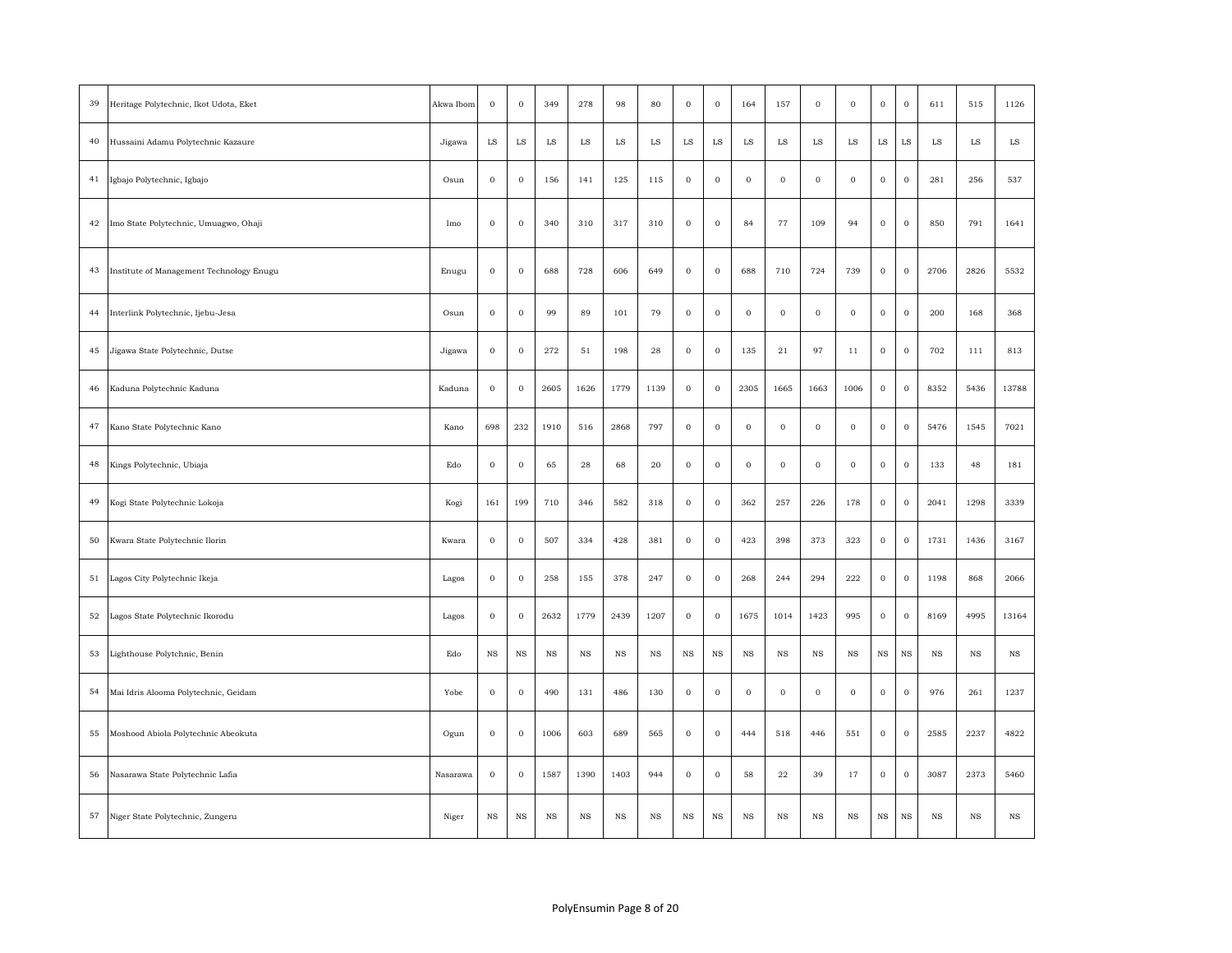| 39 | Heritage Polytechnic, Ikot Udota, Eket   | Akwa Ibom | $\bf{0}$    | $\,$ O      | 349         | 278         | 98          | 80          | $\boldsymbol{0}$ | $\mathbf{0}$ | 164              | 157          | $\mathbf 0$      | $\mathbf 0$ | $\,$ 0 $\,$      | $\,$ 0 $\,$ | 611         | 515         | 1126        |
|----|------------------------------------------|-----------|-------------|-------------|-------------|-------------|-------------|-------------|------------------|--------------|------------------|--------------|------------------|-------------|------------------|-------------|-------------|-------------|-------------|
| 40 | Hussaini Adamu Polytechnic Kazaure       | Jigawa    | $_{\rm LS}$ | $_{\rm LS}$ | $_{\rm LS}$ | $_{\rm LS}$ | $_{\rm LS}$ | $_{\rm LS}$ | $_{\rm LS}$      | $_{\rm LS}$  | $_{\rm LS}$      | $_{\rm LS}$  | ${\rm LS}$       | $_{\rm LS}$ | $_{\rm LS}$      | $_{\rm LS}$ | $_{\rm LS}$ | $_{\rm LS}$ | $_{\rm LS}$ |
| 41 | Igbajo Polytechnic, Igbajo               | Osun      | $\mathbf 0$ | $\mathbf 0$ | 156         | 141         | 125         | 115         | $\mathbf 0$      | $\mathbf{O}$ | $\bf{0}$         | $\mathbf{0}$ | $\mathbf{0}$     | $\mathbf 0$ | $\mathbf 0$      | $\mathbf 0$ | 281         | 256         | 537         |
| 42 | Imo State Polytechnic, Umuagwo, Ohaji    | Imo       | $\,0\,$     | $\bf{0}$    | 340         | 310         | 317         | 310         | $\,0\,$          | $\mathbf 0$  | 84               | $77\,$       | 109              | 94          | $\boldsymbol{0}$ | $\,$ 0 $\,$ | 850         | 791         | 1641        |
| 43 | Institute of Management Technology Enugu | Enugu     | $\,0\,$     | $\mathbf 0$ | 688         | 728         | 606         | 649         | $\bf 0$          | $\mathbf 0$  | 688              | 710          | 724              | 739         | $\,$ 0 $\,$      | $\mathbf 0$ | 2706        | 2826        | 5532        |
| 44 | Interlink Polytechnic, Ijebu-Jesa        | Osun      | $\bf{0}$    | $\bf{0}$    | 99          | 89          | 101         | 79          | $\boldsymbol{0}$ | $\mathbf 0$  | $\mathbf 0$      | $\bf{0}$     | $\mathbf 0$      | $\mathbf 0$ | $\mathbf 0$      | $\mathbf 0$ | 200         | 168         | 368         |
| 45 | Jigawa State Polytechnic, Dutse          | Jigawa    | $\mathbf 0$ | $\mathbf 0$ | 272         | 51          | 198         | 28          | $\mathbf 0$      | $\mathbf{O}$ | 135              | 21           | 97               | 11          | $\mathbf 0$      | $\mathbf 0$ | 702         | 111         | 813         |
| 46 | Kaduna Polytechnic Kaduna                | Kaduna    | $\,$ O      | $\bf{0}$    | 2605        | 1626        | 1779        | 1139        | $\boldsymbol{0}$ | $\mathbf{0}$ | 2305             | 1665         | 1663             | 1006        | $\boldsymbol{0}$ | $\mathbf 0$ | 8352        | 5436        | 13788       |
| 47 | Kano State Polytechnic Kano              | Kano      | 698         | 232         | 1910        | 516         | 2868        | 797         | $\boldsymbol{0}$ | $\mathbf{0}$ | $\boldsymbol{0}$ | $\mathbf 0$  | $\mathbf 0$      | $\bf{0}$    | $\,$ 0 $\,$      | $\mathbf 0$ | 5476        | 1545        | 7021        |
| 48 | Kings Polytechnic, Ubiaja                | Edo       | $\,0\,$     | $\,$ O      | 65          | 28          | 68          | 20          | $\boldsymbol{0}$ | $\mathbf 0$  | $\boldsymbol{0}$ | $\bf{0}$     | $\boldsymbol{0}$ | $\bf{0}$    | $\,$ 0 $\,$      | $\,$ 0 $\,$ | 133         | 48          | 181         |
| 49 | Kogi State Polytechnic Lokoja            | Kogi      | 161         | 199         | 710         | 346         | 582         | 318         | $\,0\,$          | $\mathbf{0}$ | 362              | 257          | 226              | 178         | $\,0\,$          | $\mathbf 0$ | 2041        | 1298        | 3339        |
| 50 | Kwara State Polytechnic Ilorin           | Kwara     | $\,0\,$     | $\bf{0}$    | 507         | 334         | 428         | 381         | $\,0\,$          | $\mathbf 0$  | 423              | 398          | 373              | 323         | $\,0\,$          | $\,$ 0 $\,$ | 1731        | 1436        | 3167        |
| 51 | Lagos City Polytechnic Ikeja             | Lagos     | $\bf{0}$    | $\mathbf 0$ | 258         | 155         | 378         | 247         | $\mathbf{0}$     | $\mathbf{O}$ | 268              | 244          | 294              | 222         | $\mathbf 0$      | $\mathbf 0$ | 1198        | 868         | 2066        |
| 52 | Lagos State Polytechnic Ikorodu          | Lagos     | $\bf{0}$    | $\,$ O      | 2632        | 1779        | 2439        | 1207        | $\bf{0}$         | $\mathbf{O}$ | 1675             | 1014         | 1423             | 995         | $\,$ 0 $\,$      | $\mathbf 0$ | 8169        | 4995        | 13164       |
| 53 | ighthouse Polytchnic, Benin              | Edo       | $_{\rm NS}$ | $_{\rm NS}$ | $_{\rm NS}$ | $_{\rm NS}$ | <b>NS</b>   | $_{\rm NS}$ | $_{\rm NS}$      | $_{\rm NS}$  | <b>NS</b>        | $_{\rm NS}$  | $_{\rm NS}$      | $_{\rm NS}$ | $_{\rm NS}$      | $_{\rm NS}$ | $_{\rm NS}$ | $_{\rm NS}$ | $_{\rm NS}$ |
| 54 | Mai Idris Alooma Polytechnic, Geidam     | Yobe      | $\,$ 0 $\,$ | $\bf{0}$    | 490         | 131         | 486         | 130         | $\boldsymbol{0}$ | $\mathbf 0$  | $\,0\,$          | $\bf{0}$     | $\boldsymbol{0}$ | $\mathbf 0$ | $\,$ O           | $\mathbf 0$ | 976         | 261         | 1237        |
| 55 | Moshood Abiola Polytechnic Abeokuta      | Ogun      | $\bf{0}$    | $\mathbf 0$ | 1006        | 603         | 689         | 565         | $\,0\,$          | $\mathbf 0$  | 444              | 518          | 446              | 551         | $\,$ O           | $\mathbf 0$ | 2585        | 2237        | 4822        |
| 56 | Nasarawa State Polytechnic Lafia         | Nasarawa  | $\,0\,$     | $\bf{0}$    | 1587        | 1390        | 1403        | 944         | $\,0\,$          | $\mathbf 0$  | 58               | $\bf{22}$    | 39               | 17          | $\,0\,$          | $\mathbf 0$ | 3087        | 2373        | 5460        |
| 57 | Niger State Polytechnic, Zungeru         | Niger     | $_{\rm NS}$ | NS          | $_{\rm NS}$ | NS          | $_{\rm NS}$ | $_{\rm NS}$ | $_{\rm NS}$      | $_{\rm NS}$  | $_{\rm NS}$      | $_{\rm NS}$  | $_{\rm NS}$      | $_{\rm NS}$ | $_{\rm NS}$      | $_{\rm NS}$ | $_{\rm NS}$ | $_{\rm NS}$ | $_{\rm NS}$ |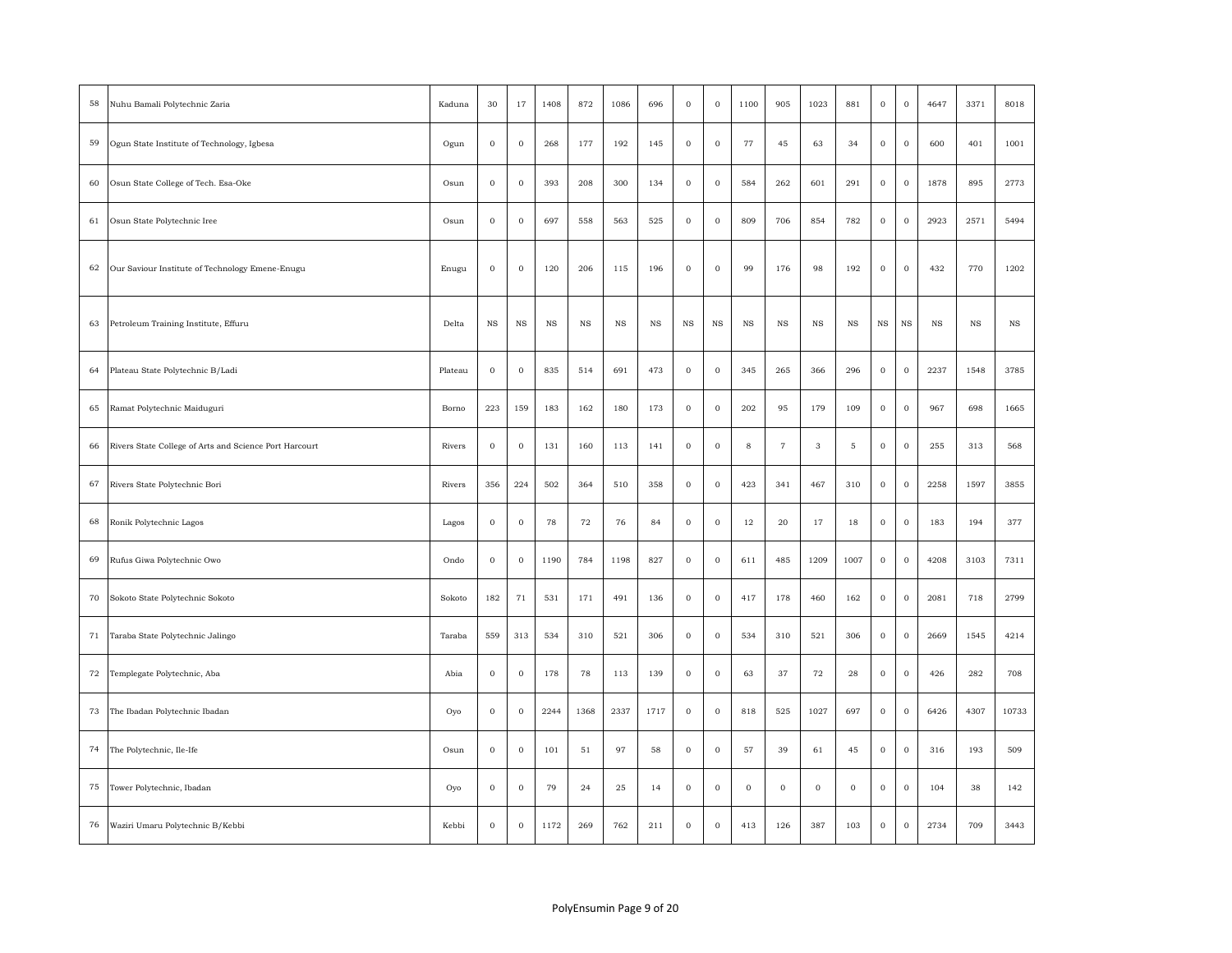| 58 | Nuhu Bamali Polytechnic Zaria                          | Kaduna  | 30          | 17               | 1408        | 872         | 1086        | 696         | $\mathbf 0$ | $\boldsymbol{0}$ | 1100        | 905               | 1023        | 881         | $\,0\,$      | $\bf 0$     | 4647        | 3371        | 8018        |
|----|--------------------------------------------------------|---------|-------------|------------------|-------------|-------------|-------------|-------------|-------------|------------------|-------------|-------------------|-------------|-------------|--------------|-------------|-------------|-------------|-------------|
| 59 | Ogun State Institute of Technology, Igbesa             | Ogun    | $\mathbf 0$ | $\bf{0}$         | 268         | 177         | 192         | 145         | $\mathbf 0$ | $\mathbf 0$      | 77          | 45                | 63          | 34          | $\,$ 0 $\,$  | $\mathbf 0$ | 600         | 401         | 1001        |
| 60 | Osun State College of Tech. Esa-Oke                    | Osun    | $\,$ O      | $\,$ O           | 393         | 208         | 300         | 134         | $\bf{0}$    | $\,0\,$          | 584         | 262               | 601         | 291         | $\,$ 0 $\,$  | $\,$ O      | 1878        | 895         | 2773        |
| 61 | Osun State Polytechnic Iree                            | Osun    | $\bf{0}$    | $\mathbf 0$      | 697         | 558         | 563         | 525         | $\mathbf 0$ | $\mathbf 0$      | 809         | 706               | 854         | 782         | $\,$ 0 $\,$  | $\mathbf 0$ | 2923        | 2571        | 5494        |
| 62 | Our Saviour Institute of Technology Emene-Enugu        | Enugu   | $\,$ 0      | $\boldsymbol{0}$ | 120         | 206         | 115         | 196         | $\bf{0}$    | $\,$ 0 $\,$      | 99          | 176               | 98          | 192         | $\,0\,$      | $\,$ 0      | 432         | 770         | 1202        |
| 63 | Petroleum Training Institute, Effuru                   | Delta   | $_{\rm NS}$ | $_{\rm NS}$      | $_{\rm NS}$ | $_{\rm NS}$ | $_{\rm NS}$ | $_{\rm NS}$ | $_{\rm NS}$ | $_{\rm NS}$      | $_{\rm NS}$ | $_{\rm NS}$       | $_{\rm NS}$ | $_{\rm NS}$ | $_{\rm NS}$  | $_{\rm NS}$ | $_{\rm NS}$ | $_{\rm NS}$ | $_{\rm NS}$ |
| 64 | Plateau State Polytechnic B/Ladi                       | Plateau | $\bf 0$     | $\bf{0}$         | 835         | 514         | 691         | 473         | $\mathbf 0$ | $\boldsymbol{0}$ | 345         | 265               | 366         | 296         | $\,0\,$      | $\bf 0$     | 2237        | 1548        | 3785        |
| 65 | Ramat Polytechnic Maiduguri                            | Borno   | 223         | 159              | 183         | 162         | 180         | 173         | $\mathbf 0$ | $\mathbf 0$      | 202         | 95                | 179         | 109         | $\mathbf{0}$ | $\mathbf 0$ | 967         | 698         | 1665        |
| 66 | Rivers State College of Arts and Science Port Harcourt | Rivers  | $\,$ 0 $\,$ | $\,$ 0 $\,$      | 131         | 160         | 113         | 141         | $\,$ O      | $\,$ 0 $\,$      | $\bf8$      | $\scriptstyle{7}$ | $_{\rm 3}$  | $\mathbf 5$ | $\mathbf 0$  | $\,$ 0 $\,$ | 255         | 313         | 568         |
| 67 | Rivers State Polytechnic Bori                          | Rivers  | 356         | 224              | 502         | 364         | 510         | 358         | $\,0\,$     | $\,0\,$          | 423         | 341               | 467         | 310         | $\,$ 0 $\,$  | $\,$ 0 $\,$ | 2258        | 1597        | 3855        |
| 68 | Ronik Polytechnic Lagos                                | Lagos   | $\bf{0}$    | $\,$ O           | 78          | 72          | 76          | 84          | $\mathbf 0$ | $\mathbf 0$      | 12          | 20                | 17          | 18          | $\,0\,$      | $\,$ O      | 183         | 194         | 377         |
| 69 | Rufus Giwa Polytechnic Owo                             | Ondo    | $\mathbf 0$ | $\bf{0}$         | 1190        | 784         | 1198        | 827         | $\bf{0}$    | $\boldsymbol{0}$ | 611         | 485               | 1209        | 1007        | $\,$ 0 $\,$  | $\mathbf 0$ | 4208        | 3103        | 7311        |
| 70 | Sokoto State Polytechnic Sokoto                        | Sokoto  | 182         | 71               | 531         | 171         | 491         | 136         | $\,0\,$     | $\,0\,$          | 417         | 178               | 460         | 162         | $\,$ O       | $\,$ 0 $\,$ | 2081        | 718         | 2799        |
| 71 | Taraba State Polytechnic Jalingo                       | Taraba  | 559         | 313              | 534         | 310         | 521         | 306         | $\,0\,$     | $\,0\,$          | 534         | 310               | 521         | 306         | $\,$ 0 $\,$  | $\,$ 0 $\,$ | 2669        | 1545        | 4214        |
| 72 | Templegate Polytechnic, Aba                            | Abia    | $\,$ O      | $\,$ O           | 178         | 78          | 113         | 139         | $\,0\,$     | $\boldsymbol{0}$ | 63          | 37                | 72          | $\bf 28$    | $\,$ O       | $\,$ O      | 426         | 282         | 708         |
| 73 | The Ibadan Polytechnic Ibadan                          | Oyo     | $\,0\,$     | $\mathbf 0$      | 2244        | 1368        | 2337        | 1717        | $\,$ O      | $\,$ O           | 818         | 525               | 1027        | 697         | $\,$ 0 $\,$  | $\,$ O      | 6426        | 4307        | 10733       |
| 74 | The Polytechnic, Ile-Ife                               | Osun    | $\,$ O      | $\,$ O           | 101         | 51          | 97          | 58          | $\,0\,$     | $\,$ 0 $\,$      | 57          | 39                | 61          | 45          | $\,$ 0 $\,$  | $\,$ 0 $\,$ | 316         | 193         | 509         |
| 75 | Tower Polytechnic, Ibadan                              | Oyo     | $\bf{0}$    | $\bf{0}$         | 79          | 24          | 25          | 14          | $\bf{0}$    | $\mathbf 0$      | $\mathbf 0$ | $\bf{0}$          | $\bf 0$     | $\mathbf 0$ | $\mathbf 0$  | $\bf{0}$    | 104         | 38          | 142         |
| 76 | Waziri Umaru Polytechnic B/Kebbi                       | Kebbi   | $\bf{0}$    | $\bf{0}$         | 1172        | 269         | 762         | 211         | $\mathbf 0$ | $\mathbf{0}$     | 413         | 126               | 387         | 103         | $\mathbf 0$  | $\bf{0}$    | 2734        | 709         | 3443        |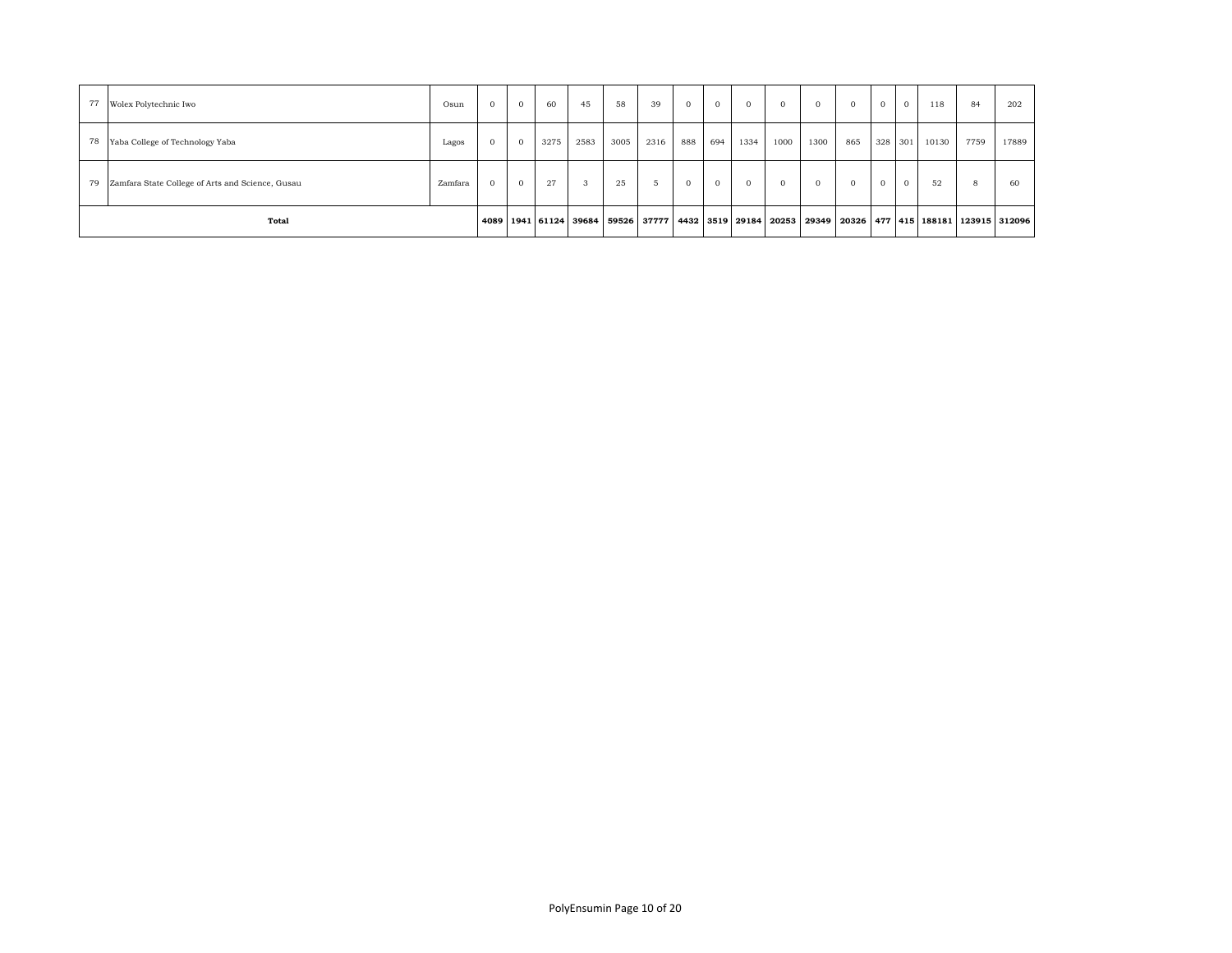| 77 | Wolex Polytechnic Iwo                            | Osun    | $\mathbf{0}$ | $\overline{0}$ | 60   | 45   | 58                                                                        | 39            | $\Omega$ | $\overline{0}$ | $\mathbf{0}$ |      |      | $\mathbf{0}$ | $\overline{0}$ | $\mathbf{0}$ | 118   | 84   | 202                                      |
|----|--------------------------------------------------|---------|--------------|----------------|------|------|---------------------------------------------------------------------------|---------------|----------|----------------|--------------|------|------|--------------|----------------|--------------|-------|------|------------------------------------------|
| 78 | Yaba College of Technology Yaba                  | Lagos   | $\Omega$     | $\overline{0}$ | 3275 | 2583 | 3005                                                                      | 2316          | 888      | 694            | 1334         | 1000 | 1300 | 865          |                | 328 301      | 10130 | 7759 | 17889                                    |
| 79 | Zamfara State College of Arts and Science, Gusau | Zamfara | $\Omega$     | $\Omega$       | 27   | - 3  | 25                                                                        | $\mathcal{D}$ |          | $\Omega$       | $\Omega$     |      |      |              | $\overline{0}$ | $\mathbf{0}$ | 52    | 8    | 60                                       |
|    | Total                                            |         |              |                |      |      | 4089   1941   61124   39684   59526   37777   4432   3519   29184   20253 |               |          |                |              |      |      |              |                |              |       |      | 29349 20326 477 415 188181 123915 312096 |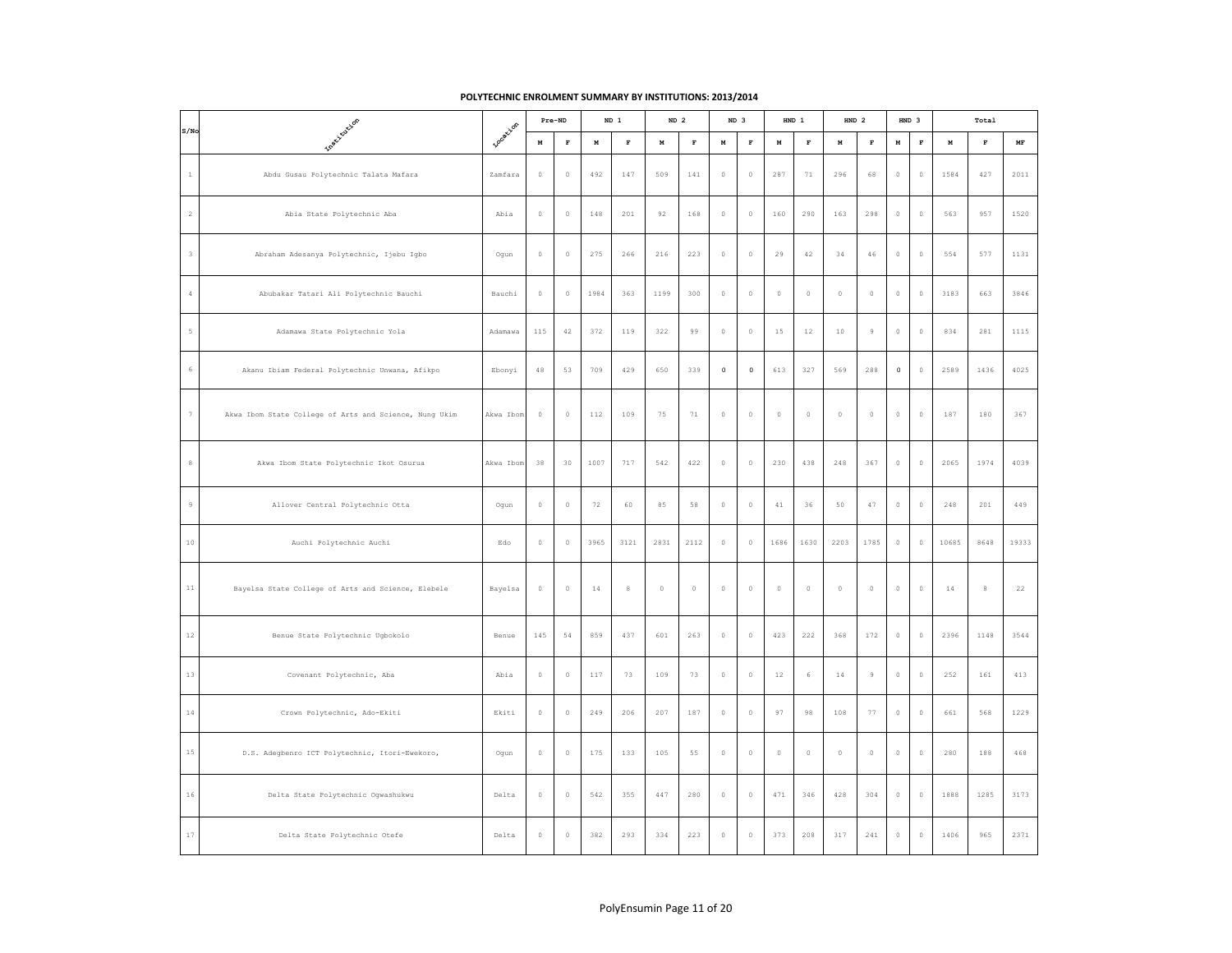## **POLYTECHNIC ENROLMENT SUMMARY BY INSTITUTIONS: 2013/2014**

|                |                                                        |                  |             | Pre-ND      |        | ND 1        | ND <sub>2</sub> |              |             | ND <sub>3</sub> |             | HND 1       | HND 2       |                | HND 3        |             |             | Total        |                                 |
|----------------|--------------------------------------------------------|------------------|-------------|-------------|--------|-------------|-----------------|--------------|-------------|-----------------|-------------|-------------|-------------|----------------|--------------|-------------|-------------|--------------|---------------------------------|
| S/No           | Inext toxicon                                          | <b>Locatizon</b> | M           | $\mathbf F$ | $\,$ M | $\mathbf F$ | $\,$ M          | $\mathbf{F}$ | M           | $\mathbf F$     | $\mathbf M$ | $\mathbf F$ | $\,$ M      | $\mathbf{F}$   | $\,$ M       | $\mathbf F$ | $\mathbf M$ | $\mathbf{F}$ | $\ensuremath{\text{MF}}\xspace$ |
| $\,1\,$        | Abdu Gusau Polytechnic Talata Mafara                   | Zamfara          | $\mathbb O$ | $\mathbb O$ | 492    | 147         | 509             | 141          | $\mathbb O$ | $\circ$         | 287         | $7\,1$      | 296         | 68             | $\circ$      | $\mathbb O$ | 1584        | 427          | 2011                            |
| $\sqrt{2}$     | Abia State Polytechnic Aba                             | Abia             | $\mathbb O$ | $\mathbb O$ | 148    | 201         | 92              | 168          | $\mathbb O$ | $\mathbb O$     | 160         | 290         | 163         | 298            | $\circ$      | $\mathbb O$ | 563         | 957          | 1520                            |
| $_{3}$         | Abraham Adesanya Polytechnic, Ijebu Igbo               | Ogun             | $\mathbb O$ | $\mathbb O$ | 275    | 266         | 216             | 223          | $\mathbb O$ | $\mathbb O$     | 29          | 42          | 34          | $4\,6$         | $\circ$      | $\mathbb O$ | 554         | 577          | 1131                            |
| $\sqrt{4}$     | Abubakar Tatari Ali Polytechnic Bauchi                 | Bauchi           | $\mathbb O$ | $\mathbb O$ | 1984   | 363         | 1199            | 300          | $\mathbb O$ | $\mathbb O$     | $\circ$     | $\mathbb O$ | $\mathbb O$ | $\mathbb O$    | $\mathbb O$  | $\mathbb O$ | 3183        | 663          | 3846                            |
| $\mathsf S$    | Adamawa State Polytechnic Yola                         | Adamawa          | 115         | 42          | 372    | 119         | 322             | 99           | $\mathbb O$ | $\mathbb O$     | 15          | $12$        | $10$        | $\mathfrak{g}$ | $\circ$      | $\mathbb O$ | 834         | 281          | 1115                            |
| $\epsilon$     | Akanu Ibiam Federal Polytechnic Unwana, Afikpo         | Ebonyi           | $4\,8$      | 53          | 709    | 429         | 650             | 339          | $\mathbf 0$ | $\mathbf 0$     | 613         | 327         | 569         | 288            | $\mathsf{O}$ | $\mathbb O$ | 2589        | 1436         | 4025                            |
| $\overline{7}$ | Akwa Ibom State College of Arts and Science, Nung Ukim | Akwa Ibom        | $\mathbb O$ | $\mathbb O$ | 112    | 109         | 75              | $7\,1$       | $\mathbb O$ | $\mathbb O$     | $\mathbb O$ | $\mathbb O$ | $\circ$     | $\circ$        | $\circ$      | $\circ$     | 187         | 180          | 367                             |
| $_{\rm 8}$     | Akwa Ibom State Polytechnic Ikot Osurua                | Akwa Ibom        | 38          | 30          | 1007   | 717         | 542             | 422          | $\mathbb O$ | $\circ$         | 230         | 438         | 248         | 367            | $\circ$      | $\mathbb O$ | 2065        | 1974         | 4039                            |
| $\,$ $\,$ $\,$ | Allover Central Polytechnic Otta                       | Ogun             | $\mathbb O$ | $\mathbb O$ | 72     | 60          | 85              | 58           | $\mathbb O$ | $\,0\,$         | $4\,1$      | 36          | 50          | $4\,7$         | $\circ$      | $\mathbb O$ | 248         | 201          | 449                             |
| $1\,0$         | Auchi Polytechnic Auchi                                | Edo              | $\mathbb O$ | $\mathbb O$ | 3965   | 3121        | 2831            | 2112         | $\mathbb O$ | $\circ$         | 1686        | 1630        | 2203        | 1785           | $\circ$      | $\mathbb O$ | 10685       | 8648         | 19333                           |
| $11\,$         | Bayelsa State College of Arts and Science, Elebele     | Bayelsa          | $\mathbb O$ | $\mathbb O$ | 14     | 8           | $\mathbb O$     | $\mathbb O$  | $\mathbb O$ | $\circ$         | $\mathbb O$ | $\circ$     | $\mathbb O$ | $\mathbb O$    | $\mathbb O$  | $\mathbb O$ | 14          | $\,$ 8       | 22                              |
| $12\,$         | Benue State Polytechnic Ugbokolo                       | Benue            | 145         | 54          | 859    | 437         | 601             | 263          | $\mathbb O$ | $\circ$         | 423         | 222         | 368         | 172            | $\circ$      | $\circ$     | 2396        | 1148         | 3544                            |
| $1\,3$         | Covenant Polytechnic, Aba                              | Abia             | $\mathbb O$ | $\mathbb O$ | 117    | 73          | 109             | 73           | $\mathbb O$ | $\,0\,$         | $1\,2$      | 6           | $1\,4$      | $\,9$          | $\circ$      | $\mathbb O$ | 252         | $1\,61$      | 413                             |
| $1\,4$         | Crown Polytechnic, Ado-Ekiti                           | Ekiti            | $\mathbb O$ | $\mathbb O$ | 249    | 206         | 207             | 187          | $\mathbb O$ | $\mathbb O$     | 97          | 98          | 108         | 77             | $\mathbb O$  | $\mathbb O$ | 661         | 568          | 1229                            |
| $15\,$         | D.S. Adegbenro ICT Polytechnic, Itori-Ewekoro,         | Ogun             | $\mathbb O$ | $\mathbb O$ | 175    | 133         | 105             | 55           | $\mathbb O$ | $\,0\,$         | $\mathbb O$ | $\,0\,$     | $\circ$     | $\mathbb O$    | $\mathbb O$  | $\mathbb O$ | 280         | 188          | 468                             |
| $1\,6$         | Delta State Polytechnic Ogwashukwu                     | Delta            | $\mathbb O$ | $\mathbb O$ | 542    | 355         | 447             | 280          | $\mathbb O$ | $\mathbb O$     | 471         | 346         | 428         | 304            | $\mathbb O$  | $\mathbb O$ | 1888        | 1285         | 3173                            |
| $17\,$         | Delta State Polytechnic Otefe                          | Delta            | $\mathbb O$ | $\mathbb O$ | 382    | 293         | 334             | 223          | $\mathbb O$ | $\mathbb O$     | 373         | 208         | 317         | 241            | $\mathbb O$  | $\mathbb O$ | 1406        | 965          | 2371                            |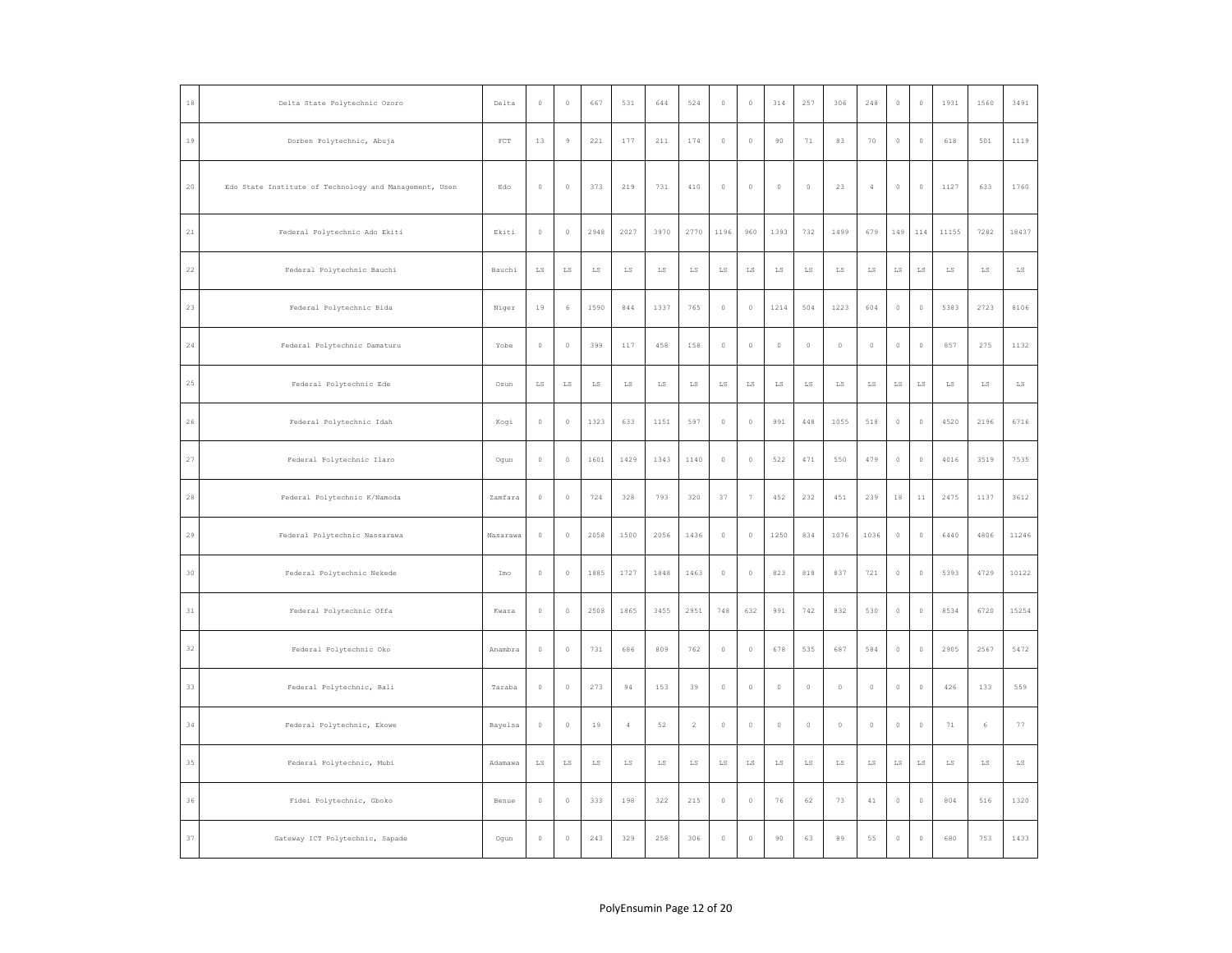| $1\,8$      | Delta State Polytechnic Ozoro                          | Delta        | $\mathbb O$ | $\,0\,$                | 667         | 531                    | 644                    | 524         | $\,0\,$                | $\mathbb O$ | 314                    | 257         | 306         | 248            | $\mathbb O$            | $\mathbb O$ | 1931                   | 1560        | 3491                   |
|-------------|--------------------------------------------------------|--------------|-------------|------------------------|-------------|------------------------|------------------------|-------------|------------------------|-------------|------------------------|-------------|-------------|----------------|------------------------|-------------|------------------------|-------------|------------------------|
| $1\,9$      | Dorben Polytechnic, Abuja                              | $_{\rm FCT}$ | $1\,3$      | $\,9$                  | 221         | 177                    | $2\sqrt{11}$           | 174         | $\,$ 0                 | $\mathbb O$ | 90                     | $7\,1$      | 83          | 70             | $\circ$                | $\,$ 0      | 618                    | 501         | 1119                   |
| 20          | Edo State Institute of Technology and Management, Usen | Edo          | $\circ$     | $\theta$               | 373         | 219                    | 731                    | 410         | $\circ$                | $\mathbb O$ | $\circ$                | $\theta$    | 23          | $\overline{4}$ | $\circ$                | $\circ$     | 1127                   | 633         | 1760                   |
| $2\sqrt{1}$ | Federal Polytechnic Ado Ekiti                          | Ekiti        | $\mathbb O$ | $\mathbb O$            | 2948        | 2027                   | 3970                   | 2770        | 1196                   | 960         | 1393                   | 732         | 1499        | 679            | 149                    | 114         | 11155                  | 7282        | 18437                  |
| $2\sqrt{2}$ | Federal Polytechnic Bauchi                             | Bauchi       | $_{\rm LS}$ | $_{\rm LS}$            | $_{\rm LS}$ | LS                     | $_{\rm LS}$            | $_{\rm LS}$ | $\mathbb{L}\mathbb{S}$ | $_{\rm LS}$ | $_{\rm LS}$            | $_{\rm LS}$ | $_{\rm LS}$ | $_{\rm LS}$    | $\mathbb{L}\mathbb{S}$ | $_{\rm LS}$ | $_{\rm LS}$            | LS          | $_{\rm LS}$            |
| $23\,$      | Federal Polytechnic Bida                               | Niger        | 19          | $\epsilon$             | 1590        | 844                    | 1337                   | 765         | $\mathbb O$            | $\theta$    | 1214                   | 504         | 1223        | 604            | $\mathbb O$            | $\,0\,$     | 5383                   | 2723        | 8106                   |
| $2\,4\,$    | Federal Polytechnic Damaturu                           | Yobe         | $\,$ 0      | $\mathbb O$            | 399         | 117                    | 458                    | 158         | $\,0\,$                | $\mathbb O$ | $\mathbb O$            | $\mathbb O$ | $\mathbb O$ | $\mathbb O$    | $\mathbb O$            | $\mathbb O$ | 857                    | 275         | 1132                   |
| 25          | Federal Polytechnic Ede                                | Osun         | $_{\rm LS}$ | $_{\rm LS}$            | $_{\rm LS}$ | $_{\rm LS}$            | $_{\rm LS}$            | $_{\rm LS}$ | $_{\rm LS}$            | $_{\rm LS}$ | $_{\rm LS}$            | $_{\rm LS}$ | $_{\rm LS}$ | $_{\rm LS}$    | $\mathbb{L}\mathbb{S}$ | $_{\rm LS}$ | $_{\rm LS}$            | LS          | LS                     |
| $2\sqrt{6}$ | Federal Polytechnic Idah                               | Kogi         | $\circ$     | $\theta$               | 1323        | 633                    | 1151                   | 597         | $\,$ 0 $\,$            | $\theta$    | 991                    | 448         | 1055        | 518            | $\mathbb O$            | $\,0\,$     | 4520                   | 2196        | 6716                   |
| $^{\rm 27}$ | Federal Polytechnic Ilaro                              | Ogun         | $\mathbb O$ | $\mathbb O$            | 1601        | 1429                   | 1343                   | 1140        | $\,0\,$                | $\mathbb O$ | 522                    | 471         | 550         | 479            | $\mathbb O$            | $\mathbb O$ | 4016                   | 3519        | 7535                   |
| $2\,8$      | Federal Polytechnic K/Namoda                           | Zamfara      | $\circ$     | $\circ$                | 724         | 328                    | 793                    | 320         | 37                     | $\tau$      | 452                    | 232         | 451         | 239            | $1\,8$                 | $11\,$      | 2475                   | 1137        | 3612                   |
| 29          | Federal Polytechnic Nassarawa                          | Nasarawa     | $\,0\,$     | $\theta$               | 2058        | 1500                   | 2056                   | 1436        | $\,$ 0 $\,$            | $\mathbb O$ | 1250                   | 834         | 1076        | 1036           | $\mathbb O$            | $\,0\,$     | 6440                   | 4806        | 11246                  |
| $30\,$      | Federal Polytechnic Nekede                             | Imo          | $\,$ 0      | $\,0\,$                | 1885        | 1727                   | 1848                   | 1463        | $\,0\,$                | $\mathbb O$ | 823                    | 818         | 837         | 721            | $\mathbb O$            | $\mathbb O$ | 5393                   | 4729        | 10122                  |
| $3\sqrt{1}$ | Federal Polytechnic Offa                               | Kwara        | $\circ$     | $\circ$                | 2508        | 1865                   | 3455                   | 2951        | 748                    | 632         | 991                    | 742         | 832         | 530            | $\mathbb O$            | $\,$ 0      | 8534                   | 6720        | 15254                  |
| 32          | Federal Polytechnic Oko                                | Anambra      | $\circ$     | $\theta$               | 731         | 686                    | 809                    | 762         | $\mathbb O$            | $\mathbb O$ | 678                    | 535         | 687         | 584            | $\circ$                | $\circ$     | 2905                   | 2567        | 5472                   |
| $_{33}$     | Federal Polytechnic, Bali                              | Taraba       | $\mathbb O$ | $\mathbb O$            | 273         | 94                     | 153                    | 39          | $\mathbb O$            | $\mathbb O$ | $\circ$                | $\mathbb O$ | $\mathbb O$ | $\mathbb O$    | $\mathbb O$            | $\mathbb O$ | 426                    | 133         | 559                    |
| 34          | Federal Polytechnic, Ekowe                             | Bayelsa      | $\mathbb O$ | $\mathbb O$            | 19          | $\overline{4}$         | 52                     | $\sqrt{2}$  | $\,$ 0                 | $\mathbb O$ | $\circ$                | $\mathbb O$ | $\mathbb O$ | $\mathbb O$    | $\mathbb O$            | $\,$ 0      | 71                     | 6           | 77                     |
| 35          | Federal Polytechnic, Mubi                              | Adamawa      | ${\rm LS}$  | $\mathbb{L}\mathbb{S}$ | $_{\rm LS}$ | $\mathbb{L}\mathbb{S}$ | $\mathbb{L}\mathbb{S}$ | ${\rm LS}$  | ${\rm LS}$             | LS          | $\mathbb{L}\mathbb{S}$ | $_{\rm LS}$ | $_{\rm LS}$ | $\mathtt{LS}$  | $\mathbb{L}\mathbb{S}$ | $_{\rm LS}$ | $\mathbb{L}\mathbb{S}$ | $_{\rm LS}$ | $\mathbb{L}\mathbb{S}$ |
| $36\,$      | Fidei Polytechnic, Gboko                               | Benue        | $\,$ 0 $\,$ | $\mathbb O$            | 333         | 198                    | 322                    | 215         | $\mathbb O$            | $\mathbb O$ | 76                     | 62          | 73          | $4\,1$         | $\mathbb O$            | $\mathbb O$ | 804                    | 516         | 1320                   |
| $3\,7$      | Gateway ICT Polytechnic, Sapade                        | Ogun         | $\,0\,$     | $\circ$                | 243         | 329                    | 258                    | 306         | $\,$ 0                 | $\mathbb O$ | 90                     | 63          | 89          | 55             | $\mathbb O$            | $\,$ 0      | 680                    | 753         | 1433                   |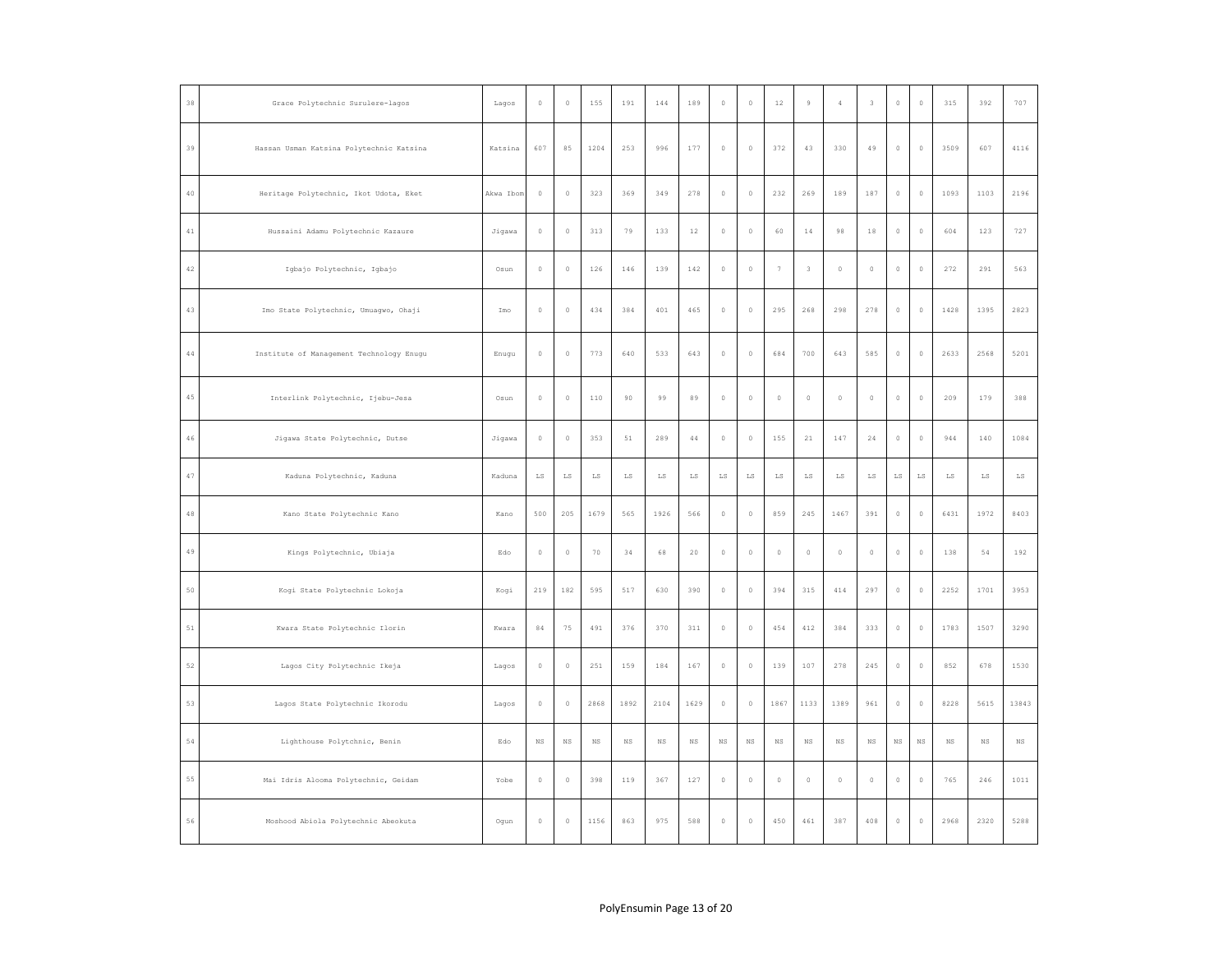| $3\,8$      | Grace Polytechnic Surulere-lagos         | Lagos     | $\mathbb O$            | $\circ$                | 155         | 191           | 144                    | 189                    | $\mathbb O$ | $\circ$     | $1\,2$      | $\circ$     | $\overline{4}$ | $\overline{\mathbf{3}}$ | $\circ$                | $\circ$     | 315         | 392         | 707                    |
|-------------|------------------------------------------|-----------|------------------------|------------------------|-------------|---------------|------------------------|------------------------|-------------|-------------|-------------|-------------|----------------|-------------------------|------------------------|-------------|-------------|-------------|------------------------|
| 39          | Hassan Usman Katsina Polytechnic Katsina | Katsina   | 607                    | 85                     | 1204        | 253           | 996                    | 177                    | $\circ$     | $\mathbb O$ | 372         | 43          | 330            | 49                      | $\circ$                | $\mathbb O$ | 3509        | 607         | 4116                   |
| $4\,0$      | Heritage Polytechnic, Ikot Udota, Eket   | Akwa Ibom | $\,0\,$                | $\mathbb O$            | 323         | 369           | 349                    | 278                    | $\,$ 0      | $\mathbb O$ | 232         | 269         | 189            | 187                     | $\mathbb O$            | $\mathbb O$ | 1093        | 1103        | 2196                   |
| $4\,1$      | Hussaini Adamu Polytechnic Kazaure       | Jigawa    | $\mathbb O$            | $\mathbb O$            | 313         | 79            | 133                    | $12\,$                 | $\,$ 0      | $\mathbb O$ | 60          | $1\,4$      | 98             | $1\,8$                  | $\mathbb O$            | $\mathbb O$ | 604         | 123         | 727                    |
| $4\sqrt{2}$ | Igbajo Polytechnic, Igbajo               | Osun      | $\mathbb O$            | $\circ$                | 126         | 146           | 139                    | 142                    | $\,$ 0      | $\mathbb O$ | $\tau$      | 3           | $\circ$        | $\mathbb O$             | $\circ$                | $\,0\,$     | 272         | 291         | 563                    |
| $4\,3$      | Imo State Polytechnic, Umuagwo, Ohaji    | Imo       | $\,0\,$                | $\mathbb O$            | 434         | 384           | 401                    | 465                    | $\,$ 0      | $\mathbb O$ | 295         | 268         | 298            | 278                     | $\mathbb O$            | $\mathbb O$ | 1428        | 1395        | 2823                   |
| $4\,4$      | Institute of Management Technology Enugu | Enugu     | $\mathbb O$            | $\mathbb O$            | 773         | 640           | 533                    | 643                    | $\,0\,$     | $\mathbb O$ | 684         | 700         | 643            | 585                     | $\circ$                | $\mathbb O$ | 2633        | 2568        | 5201                   |
| $4\,5$      | Interlink Polytechnic, Ijebu-Jesa        | Osun      | $\mathbb O$            | $\mathbb O$            | $110$       | 90            | 99                     | 89                     | $\,$ 0      | $\mathbb O$ | $\mathbb O$ | $\mathbb O$ | $\mathbb O$    | $\mathbb O$             | $\mathbb O$            | $\mathbb O$ | 209         | 179         | 388                    |
| $4\,6$      | Jigawa State Polytechnic, Dutse          | Jigawa    | $\mathbb O$            | $\mathbb O$            | 353         | 51            | 289                    | $4\,4$                 | $\mathbb O$ | $\mathbb O$ | 155         | 21          | 147            | 24                      | $\circ$                | $\mathbb O$ | 944         | 140         | 1084                   |
| $4\,7$      | Kaduna Polytechnic, Kaduna               | Kaduna    | $\mathbb{L}\mathbb{S}$ | $\mathbb{L}\mathbb{S}$ | $_{\rm LS}$ | $\mathtt{LS}$ | $\mathbb{L}\mathbb{S}$ | $\mathbb{L}\mathbb{S}$ | $_{\rm LS}$ | $_{\rm LS}$ | $_{\rm LS}$ | $_{\rm LS}$ | $_{\rm LS}$    | $_{\rm LS}$             | $\mathbb{L}\mathbb{S}$ | $_{\rm LS}$ | LS          | $_{\rm LS}$ | $\mathbb{L}\mathbb{S}$ |
| $4\,8$      | Kano State Polytechnic Kano              | Kano      | 500                    | 205                    | 1679        | 565           | 1926                   | 566                    | $\,$ 0      | $\mathbb O$ | 859         | 245         | 1467           | 391                     | $\mathbb O$            | $\mathbb O$ | 6431        | 1972        | 8403                   |
| $4\,9$      | Kings Polytechnic, Ubiaja                | Edo       | $\mathbb O$            | $\mathbb O$            | 70          | 34            | 68                     | 20                     | $\,$ 0      | $\mathbb O$ | $\mathbb O$ | $\mathbb O$ | $\mathbb O$    | $\mathbb O$             | $\mathbb O$            | $\mathbb O$ | 138         | 54          | 192                    |
| 50          | Kogi State Polytechnic Lokoja            | Kogi      | 219                    | 182                    | 595         | 517           | 630                    | 390                    | $\,$ 0      | $\mathbb O$ | 394         | 315         | 414            | 297                     | $\mathbb O$            | $\mathbb O$ | 2252        | 1701        | 3953                   |
| 51          | Kwara State Polytechnic Ilorin           | Kwara     | $8\,4$                 | 75                     | 491         | 376           | 370                    | $3\,1\,1$              | $\,$ 0      | $\mathbb O$ | 454         | 412         | 384            | 333                     | $\circ$                | $\,0\,$     | 1783        | 1507        | 3290                   |
| 52          | Lagos City Polytechnic Ikeja             | Lagos     | $\,0\,$                | $\mathbb O$            | 251         | 159           | 184                    | 167                    | $\,$ 0      | $\mathbb O$ | 139         | 107         | 278            | 245                     | $\circ$                | $\,0\,$     | 852         | 678         | 1530                   |
| 53          | Lagos State Polytechnic Ikorodu          | Lagos     | $\mathbb O$            | $\circ$                | 2868        | 1892          | 2104                   | 1629                   | $\,$ 0      | $\mathbb O$ | 1867        | 1133        | 1389           | 961                     | $\mathbb O$            | $\mathbb O$ | 8228        | 5615        | 13843                  |
| 54          | Lighthouse Polytchnic, Benin             | Edo       | $_{\rm NS}$            | $_{\rm NS}$            | $_{\rm NS}$ | $_{\rm NS}$   | $_{\rm NS}$            | $_{\rm NS}$            | $_{\rm NS}$ | $_{\rm NS}$ | $_{\rm NS}$ | $_{\rm NS}$ | $_{\rm NS}$    | $_{\rm NS}$             | $_{\rm NS}$            | $_{\rm NS}$ | $_{\rm NS}$ | $_{\rm NS}$ | $_{\rm NS}$            |
| 55          | Mai Idris Alooma Polytechnic, Geidam     | Yobe      | $\mathbb O$            | $\mathbb O$            | 398         | 119           | 367                    | 127                    | $\,$ 0      | $\mathbb O$ | $\mathbb O$ | $\mathbb O$ | $\mathbb O$    | $\mathbb O$             | $\mathbb O$            | $\,0\,$     | 765         | 246         | 1011                   |
| $5\,6$      | Moshood Abiola Polytechnic Abeokuta      | Ogun      | $\mathbb O$            | $\mathbb O$            | 1156        | 863           | 975                    | 588                    | $\,0\,$     | $\mathbb O$ | 450         | 461         | 387            | 408                     | $\mathbb O$            | $\mathbb O$ | 2968        | 2320        | 5288                   |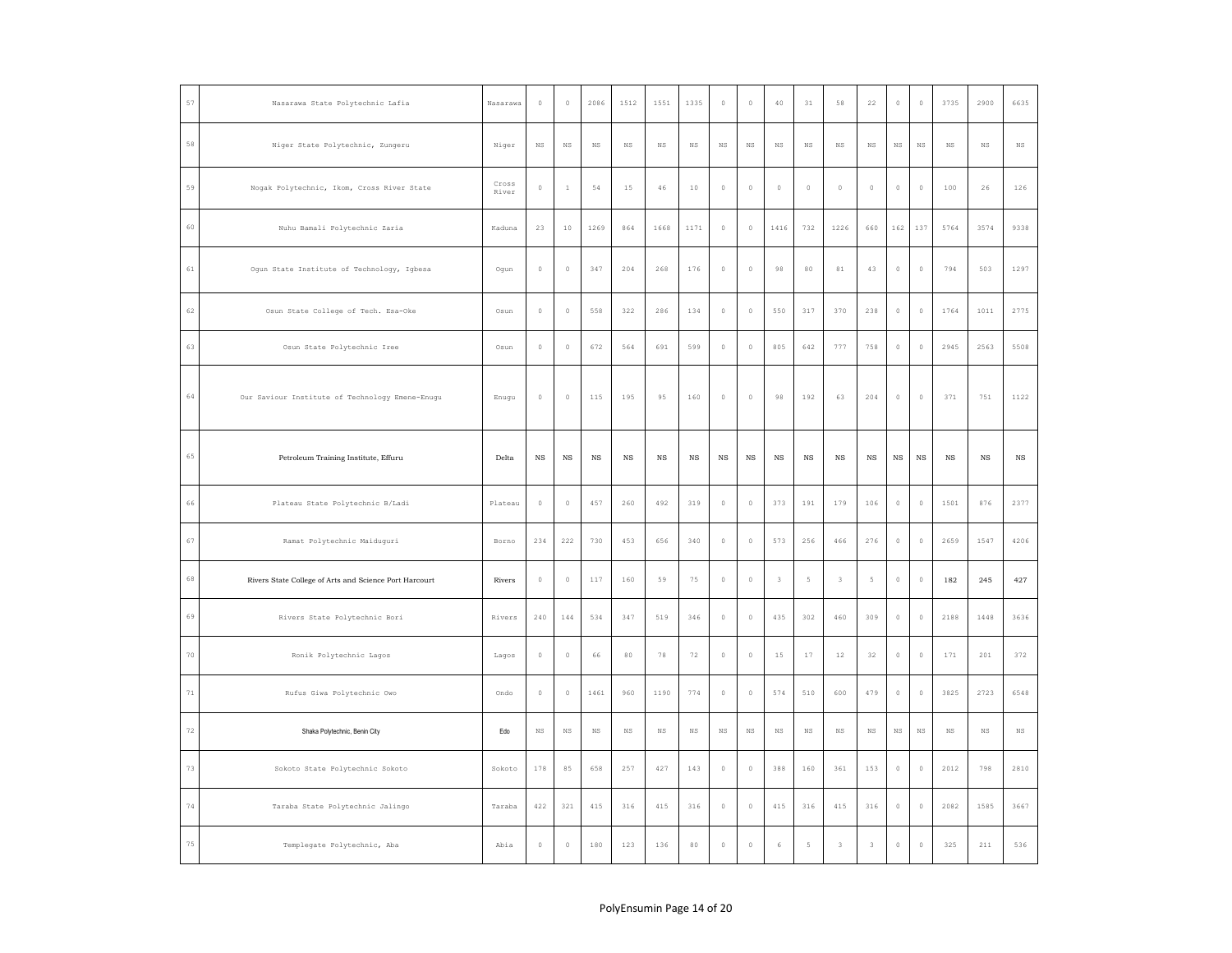| 57            | Nasarawa State Polytechnic Lafia                       | Nasarawa       | $\,0\,$     | $\mathbb O$ | 2086        | 1512        | 1551        | 1335        | $\,$ 0      | $\mathbb O$ | 40          | 31             | 58                      | 22             | $\mathbb O$    | $\mathbb O$ | 3735        | 2900        | 6635        |
|---------------|--------------------------------------------------------|----------------|-------------|-------------|-------------|-------------|-------------|-------------|-------------|-------------|-------------|----------------|-------------------------|----------------|----------------|-------------|-------------|-------------|-------------|
| 58            | Niger State Polytechnic, Zungeru                       | Niger          | $_{\rm NS}$ | $_{\rm NS}$ | $_{\rm NS}$ | $_{\rm NS}$ | $_{\rm NS}$ | $_{\rm NS}$ | $_{\rm NS}$ | $_{\rm NS}$ | $_{\rm NS}$ | $_{\rm NS}$    | $_{\rm NS}$             | $_{\rm NS}$    | $_{\rm NS}$    | $_{\rm NS}$ | $_{\rm NS}$ | $_{\rm NS}$ | $_{\rm NS}$ |
| 59            | Nogak Polytechnic, Ikom, Cross River State             | Cross<br>River | $\mathbb O$ | $\,1\,$     | 54          | 15          | 46          | $10$        | $\mathbb O$ | $\mathbb O$ | $\circ$     | $\mathbb O$    | $\mathbb O$             | $\mathbb O$    | $\circ$        | $\mathbb O$ | 100         | 26          | 126         |
| 60            | Nuhu Bamali Polytechnic Zaria                          | Kaduna         | 23          | 10          | 1269        | 864         | 1668        | 1171        | $\mathbb O$ | $\circ$     | 1416        | 732            | 1226                    | 660            | 162            | 137         | 5764        | 3574        | 9338        |
| $61\,$        | Ogun State Institute of Technology, Igbesa             | Ogun           | $\,$ 0      | $\mathbb O$ | 347         | 204         | 268         | 176         | $\,0\,$     | $\mathbb O$ | $98\,$      | $_{\rm 80}$    | $8\,1$                  | $4\,3$         | $\,$ $\,$ $\,$ | $\mathbb O$ | 794         | 503         | 1297        |
| 62            | Osun State College of Tech. Esa-Oke                    | Osun           | $\mathbb O$ | $\circ$     | 558         | 322         | 286         | 134         | $\,$ 0      | $\mathbb O$ | 550         | 317            | 370                     | 238            | $\circ$        | $\,0\,$     | 1764        | 1011        | 2775        |
| 63            | Osun State Polytechnic Iree                            | Osun           | $\mathbb O$ | $\theta$    | 672         | 564         | 691         | 599         | $\mathbb O$ | $\theta$    | 805         | 642            | 777                     | 758            | $\circ$        | $\mathbb O$ | 2945        | 2563        | 5508        |
| 64            | Our Saviour Institute of Technology Emene-Enugu        | Enugu          | $\mathbb O$ | $\theta$    | 115         | 195         | 95          | 160         | $\mathbb O$ | $\Omega$    | 98          | 192            | 63                      | 204            | $\circ$        | $\mathbb O$ | 371         | 751         | 1122        |
| 65            | Petroleum Training Institute, Effuru                   | Delta          | $_{\rm NS}$ | $_{\rm NS}$ | $_{\rm NS}$ | $_{\rm NS}$ | $_{\rm NS}$ | $_{\rm NS}$ | $_{\rm NS}$ | $_{\rm NS}$ | $_{\rm NS}$ | $_{\rm NS}$    | $_{\rm NS}$             | $_{\rm NS}$    | $_{\rm NS}$    | $_{\rm NS}$ | $_{\rm NS}$ | $_{\rm NS}$ | $_{\rm NS}$ |
| 66            | Plateau State Polytechnic B/Ladi                       | Plateau        | $\mathbb O$ | $\theta$    | 457         | 260         | 492         | 319         | $\circ$     | $\mathbb O$ | 373         | 191            | 179                     | 106            | $\circ$        | $\mathbb O$ | 1501        | 876         | 2377        |
| 67            | Ramat Polytechnic Maiduguri                            | Borno          | 234         | 222         | 730         | 453         | 656         | 340         | $\,$ 0      | $\mathbb O$ | 573         | 256            | 466                     | 276            | $\circ$        | $\mathbb O$ | 2659        | 1547        | 4206        |
| $_{\rm 6\,8}$ | Rivers State College of Arts and Science Port Harcourt | Rivers         | $\mathbb O$ | $\mathbb O$ | 117         | 160         | 59          | 75          | $\circ$     | $\mathbb O$ | $\,$ 3      | $\mathsf S$    | $\overline{\mathbf{3}}$ | $\mathsf S$    | $\mathbb O$    | $\mathbb O$ | 182         | 245         | 427         |
| 69            | Rivers State Polytechnic Bori                          | Rivers         | 240         | 144         | 534         | 347         | 519         | 346         | $\mathbb O$ | $\mathbb O$ | 435         | 302            | 460                     | 309            | $\mathbb O$    | $\mathbb O$ | 2188        | 1448        | 3636        |
| $70$          | Ronik Polytechnic Lagos                                | Lagos          | $\mathbb O$ | $\mathbb O$ | 66          | $80\,$      | 78          | 72          | $\,0\,$     | $\mathbb O$ | $1\,5$      | $17$           | $12$                    | $3\,2$         | $\,$ $\,$ $\,$ | $\mathbb O$ | 171         | 201         | 372         |
| $7\,1$        | Rufus Giwa Polytechnic Owo                             | Ondo           | $\mathbb O$ | $\mathbb O$ | 1461        | 960         | 1190        | 774         | $\mathbb O$ | $\mathbb O$ | 574         | 510            | 600                     | 479            | $\circ$        | $\mathbb O$ | 3825        | 2723        | 6548        |
| 72            | Shaka Polytechnic, Benin City                          | Edo            | <b>NS</b>   | $_{\rm NS}$ | $_{\rm NS}$ | NS          | $_{\rm NS}$ | $_{\rm NS}$ | $_{\rm NS}$ | $_{\rm NS}$ | $_{\rm NS}$ | NS.            | NS                      | $_{\rm NS}$    | $_{\rm NS}$    | $_{\rm NS}$ | NS          | $_{\rm NS}$ | $_{\rm NS}$ |
| 73            | Sokoto State Polytechnic Sokoto                        | Sokoto         | 178         | 85          | 658         | 257         | 427         | 143         | $\circ$     | $\mathbb O$ | 388         | 160            | 361                     | 153            | $\circ$        | $\mathbb O$ | 2012        | 798         | 2810        |
| $7\,4$        | Taraba State Polytechnic Jalingo                       | Taraba         | 422         | 321         | 415         | 316         | 415         | 316         | $\,$ 0      | $\mathbb O$ | 415         | 316            | 415                     | 316            | $\mathbb O$    | $\mathbb O$ | 2082        | 1585        | 3667        |
| $7\,5$        | Templegate Polytechnic, Aba                            | Abia           | $\circ$     | $\circ$     | 180         | 123         | 136         | 80          | $\circ$     | $\circ$     | 6           | $\overline{5}$ | $\overline{3}$          | $\overline{3}$ | $\circ$        | $\circ$     | 325         | 211         | 536         |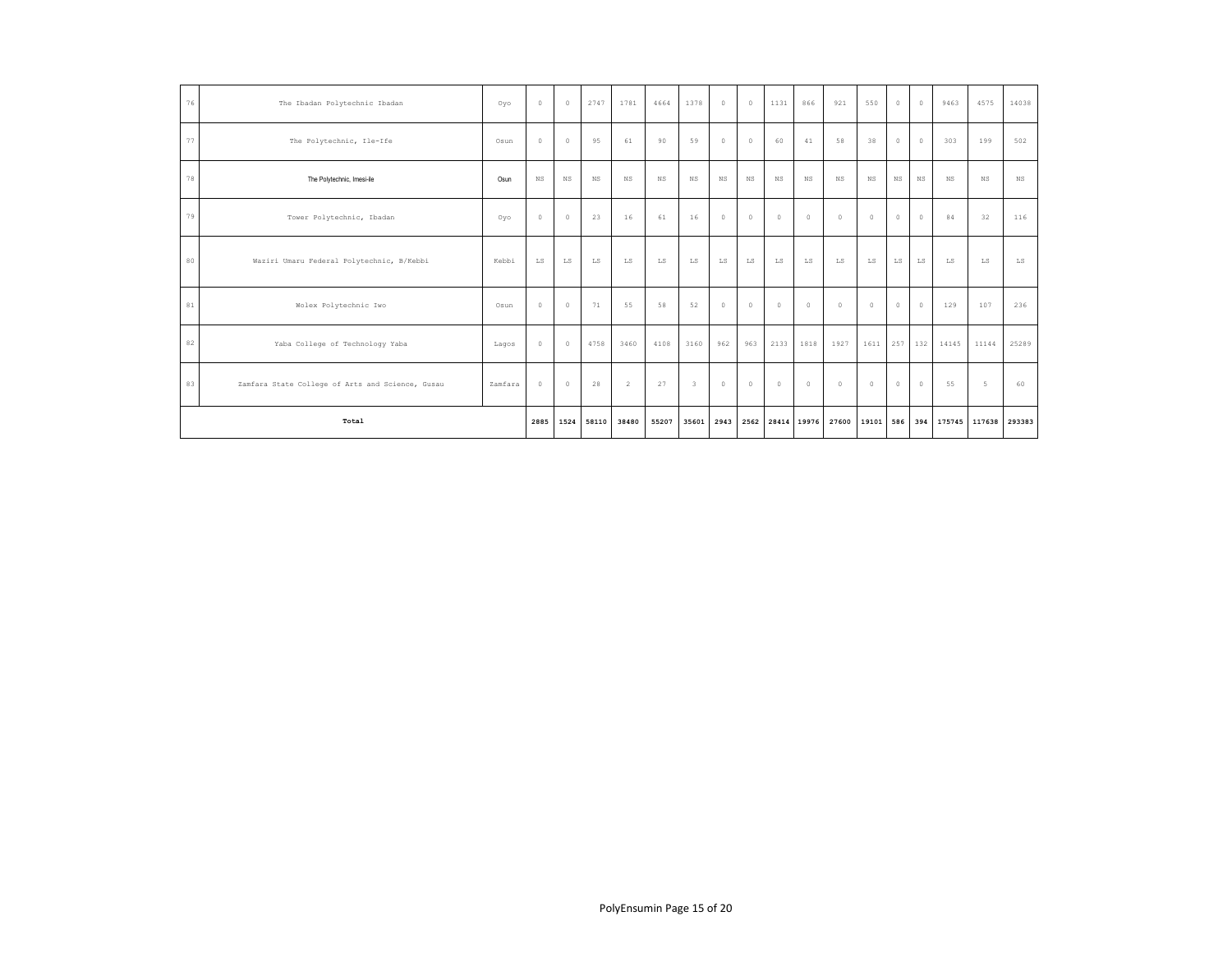| 76 | The Ibadan Polytechnic Ibadan                    | Oyo     | $\circ$                | $\circ$     | 2747        | 1781           | 4664          | 1378                    | $\mathbb O$ | $^{\circ}$       | 1131          | 866         | 921     | 550                    | $\circ$     | $\circ$       | 9463      | 4575   | 14038 |
|----|--------------------------------------------------|---------|------------------------|-------------|-------------|----------------|---------------|-------------------------|-------------|------------------|---------------|-------------|---------|------------------------|-------------|---------------|-----------|--------|-------|
| 77 | The Polytechnic, Ile-Ife                         | Osun    | $\circ$                | $\circ$     | 95          | 61             | 90            | 59                      | $\mathbb O$ | $\circ$          | 60            | 41          | 58      | 38                     | $\circ$     | $\circ$       | 303       | 199    | 502   |
| 78 | The Polytechnic, Imesi-ile                       | Osun    | <b>NS</b>              | $_{\rm NS}$ | NS          | NS             | <b>NS</b>     | $_{\rm NS}$             | NS          | <b>NS</b>        | <b>NS</b>     | NS          | NS.     | NS                     | $_{\rm NS}$ | NS            | <b>NS</b> | NS     | NS    |
| 79 | Tower Polytechnic, Ibadan                        | Oyo     | $\circ$                | $\circ$     | 23          | 16             | 61            | 16                      | $\circ$     | $\circ$          | $\circ$       | $\circ$     | $\circ$ | $\circ$                | $\circ$     | $\circ$       | 84        | 32     | 116   |
| 80 | Waziri Umaru Federal Polytechnic, B/Kebbi        | Kebbi   | $\mathbb{L}\mathbb{S}$ | ${\rm LS}$  | $_{\rm LS}$ | LS             | $\mathtt{LS}$ | LS                      | ${\rm LS}$  | LS               | $\mathtt{LS}$ | $_{\rm LS}$ | LS      | $\mathbb{L}\mathbb{S}$ | ${\rm LS}$  | LS            | LS        | LS     | LS    |
| 81 | Wolex Polytechnic Iwo                            | Osun    | $\circ$                | $\circ$     | 71          | 55             | 58            | 52                      | $\circ$     | $^{\circ}$       | $\circ$       | $\circ$     | $\circ$ | $\circ$                | $\circ$     | $\circ$       | 129       | 107    | 236   |
| 82 | Yaba College of Technology Yaba                  | Lagos   | $\circ$                | $\circ$     | 4758        | 3460           | 4108          | 3160                    | 962         | 963              | 2133          | 1818        | 1927    | 1611                   | 257         | 132           | 14145     | 11144  | 25289 |
| 83 | Zamfara State College of Arts and Science, Gusau | Zamfara | $\circ$                | $\circ$     | 28          | $\overline{2}$ | 27            | $\overline{\mathbf{3}}$ | $\circ$     | $^{\circ}$       | $\circ$       | $^{\circ}$  | $\circ$ | $\circ$                | $^{\circ}$  | $\circ$       | 55        | 5      | 60    |
|    | Total                                            | 2885    |                        | 1524 58110  | 38480       | 55207          | 35601         | 2943                    |             | 2562 28414 19976 |               | 27600       | 19101   | 586                    | 394         | 175745 117638 |           | 293383 |       |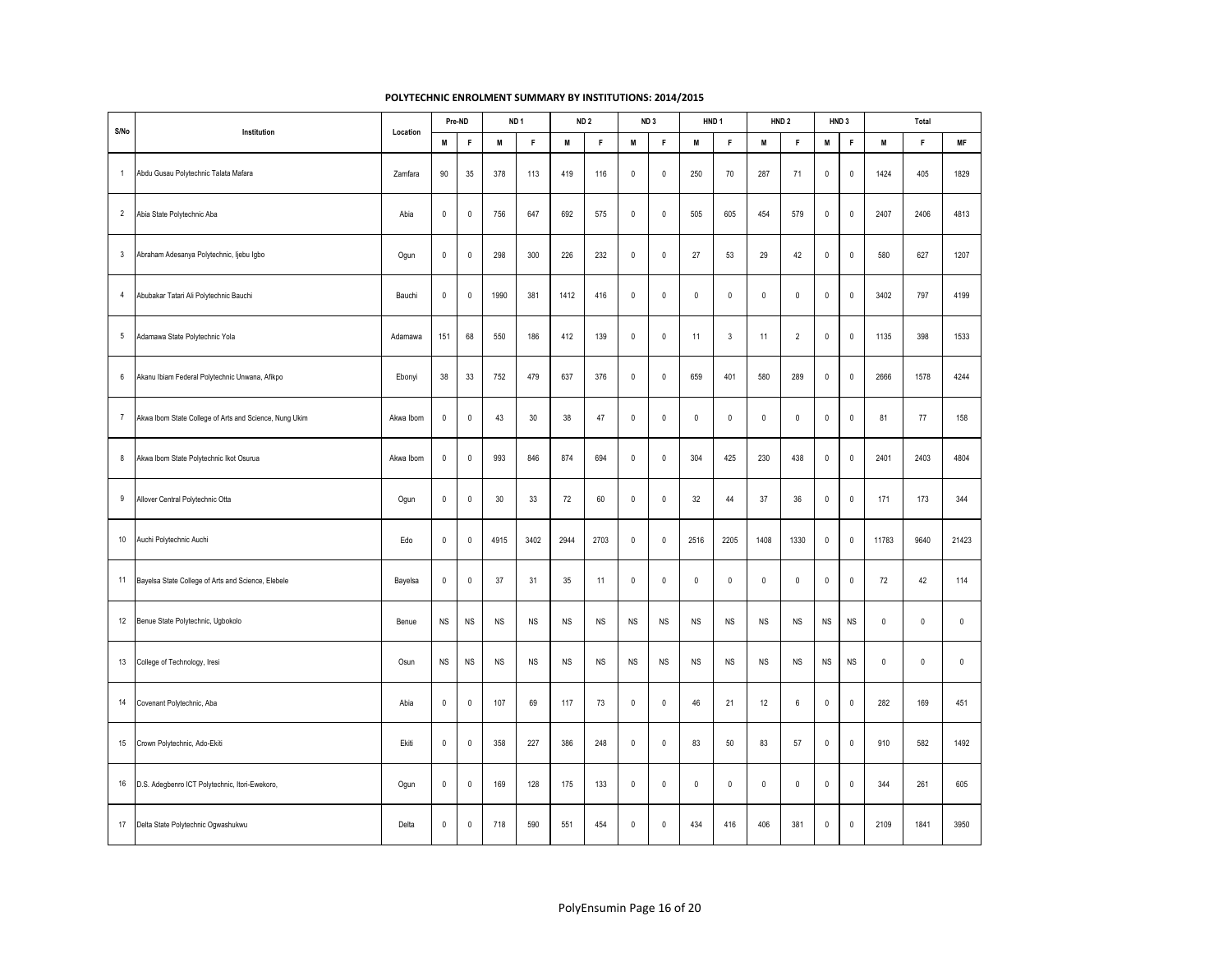| S/No             | Institution                                            | Location  |                     | Pre-ND              |           | ND <sub>1</sub> |             | ND <sub>2</sub> |                     | ND <sub>3</sub> | HND <sub>1</sub> |             |             | HND <sub>2</sub>    |                     | HND <sub>3</sub> |             | Total        |             |
|------------------|--------------------------------------------------------|-----------|---------------------|---------------------|-----------|-----------------|-------------|-----------------|---------------------|-----------------|------------------|-------------|-------------|---------------------|---------------------|------------------|-------------|--------------|-------------|
|                  |                                                        |           | M                   | $\mathsf F$         | M         | F               | M           | F               | M                   | $\mathsf F$     | M                | $\mathsf F$ | M           | F                   | М                   | F                | M           | $\mathsf F$  | MF          |
| $\mathbf{1}$     | Abdu Gusau Polytechnic Talata Mafara                   | Zamfara   | 90                  | $35\,$              | 378       | 113             | 419         | 116             | $\mathsf{O}\xspace$ | $\mathbb O$     | 250              | 70          | 287         | 71                  | 0                   | $\pmb{0}$        | 1424        | 405          | 1829        |
| $\sqrt{2}$       | Abia State Polytechnic Aba                             | Abia      | $\mathsf 0$         | $\mathsf 0$         | 756       | 647             | 692         | 575             | $\mathsf{O}\xspace$ | $\mathbb O$     | 505              | 605         | 454         | 579                 | 0                   | $\pmb{0}$        | 2407        | 2406         | 4813        |
| $\mathbf{3}$     | Abraham Adesanya Polytechnic, Ijebu Igbo               | Ogun      | $\mathbb O$         | $\mathbf 0$         | 298       | 300             | 226         | 232             | $\pmb{0}$           | $\mathbb O$     | 27               | 53          | 29          | 42                  | $\mathsf{O}\xspace$ | $\mathbb O$      | 580         | 627          | 1207        |
| $\overline{4}$   | Abubakar Tatari Ali Polytechnic Bauchi                 | Bauchi    | $\mathsf 0$         | $\mathsf 0$         | 1990      | 381             | 1412        | 416             | $\mathsf{O}\xspace$ | $\mathbf 0$     | $\mathsf 0$      | $\mathsf 0$ | $\mathsf 0$ | $\mathsf{O}\xspace$ | 0                   | $\mathbb O$      | 3402        | 797          | 4199        |
| 5                | Adamawa State Polytechnic Yola                         | Adamawa   | 151                 | 68                  | 550       | 186             | 412         | 139             | $\mathbf{0}$        | $\mathbf{0}$    | 11               | 3           | 11          | $\overline{2}$      | 0                   | $\mathbf 0$      | 1135        | 398          | 1533        |
| $\,6\,$          | Akanu Ibiam Federal Polytechnic Unwana, Afikpo         | Ebonyi    | 38                  | 33                  | 752       | 479             | 637         | 376             | $\mathsf{O}\xspace$ | $\mathbb O$     | 659              | 401         | 580         | 289                 | 0                   | $\pmb{0}$        | 2666        | 1578         | 4244        |
| $\overline{7}$   | Akwa Ibom State College of Arts and Science, Nung Ukim | Akwa Ibom | $\mathsf 0$         | $\mathsf 0$         | 43        | 30              | 38          | 47              | $\mathsf{O}\xspace$ | $\pmb{0}$       | $\pmb{0}$        | $\mathbf 0$ | $\mathsf 0$ | $\mathsf{O}\xspace$ | 0                   | $\pmb{0}$        | 81          | 77           | 158         |
| 8                | Akwa Ibom State Polytechnic Ikot Osurua                | Akwa Ibom | $\mathbb O$         | $\mathbf 0$         | 993       | 846             | 874         | 694             | $\pmb{0}$           | $\mathbf{0}$    | 304              | 425         | 230         | 438                 | 0                   | $\mathbf 0$      | 2401        | 2403         | 4804        |
| $\boldsymbol{9}$ | Allover Central Polytechnic Otta                       | Ogun      | $\mathsf 0$         | $\mathbf 0$         | 30        | 33              | 72          | 60              | $\mathsf{O}\xspace$ | $\mathbf{0}$    | 32               | 44          | 37          | 36                  | $\mathsf 0$         | $\mathbf 0$      | 171         | 173          | 344         |
| 10               | Auchi Polytechnic Auchi                                | Edo       | $\mathsf 0$         | $\mathsf{O}\xspace$ | 4915      | 3402            | 2944        | 2703            | $\mathsf{O}\xspace$ | $\mathbb O$     | 2516             | 2205        | 1408        | 1330                | $\mathsf 0$         | $\pmb{0}$        | 11783       | 9640         | 21423       |
| 11               | Bayelsa State College of Arts and Science, Elebele     | Bayelsa   | $\mathbf 0$         | $\mathbf 0$         | 37        | 31              | 35          | 11              | $\mathbf 0$         | $\mathbb O$     | $\mathbf 0$      | $\mathsf 0$ | $\pmb{0}$   | $\mathsf{O}\xspace$ | $\mathsf{O}\xspace$ | $\pmb{0}$        | 72          | 42           | 114         |
| 12               | Benue State Polytechnic, Ugbokolo                      | Benue     | NS                  | $_{\rm NS}$         | <b>NS</b> | $_{\rm NS}$     | $_{\rm NS}$ | $_{\rm NS}$     | $_{\rm NS}$         | <b>NS</b>       | $_{\rm NS}$      | NS          | $_{\rm NS}$ | $_{\rm NS}$         | <b>NS</b>           | $_{\rm NS}$      | $\mathbf 0$ | $\pmb{0}$    | $\mathbb O$ |
| 13               | College of Technology, Iresi                           | Osun      | <b>NS</b>           | NS                  | <b>NS</b> | <b>NS</b>       | <b>NS</b>   | <b>NS</b>       | <b>NS</b>           | <b>NS</b>       | <b>NS</b>        | <b>NS</b>   | <b>NS</b>   | <b>NS</b>           | <b>NS</b>           | <b>NS</b>        | $\mathbf 0$ | $\mathbf{0}$ | $\mathsf 0$ |
| 14               | Covenant Polytechnic, Aba                              | Abia      | $\mathsf{O}\xspace$ | $\mathbf 0$         | 107       | 69              | 117         | 73              | 0                   | $\mathbf 0$     | 46               | 21          | 12          | 6                   | 0                   | $\mathbb O$      | 282         | 169          | 451         |
| 15               | Crown Polytechnic, Ado-Ekiti                           | Ekiti     | $\mathbf 0$         | $\mathbf 0$         | 358       | 227             | 386         | 248             | $\mathsf{O}\xspace$ | $\mathbb O$     | 83               | 50          | 83          | 57                  | $\mathsf 0$         | $\pmb{0}$        | 910         | 582          | 1492        |
| 16               | D.S. Adegbenro ICT Polytechnic, Itori-Ewekoro,         | Ogun      | $\mathbf 0$         | $\mathbf 0$         | 169       | 128             | 175         | 133             | $\mathsf{O}\xspace$ | $\mathbb O$     | $\mathbf 0$      | $\mathsf 0$ | $\mathbf 0$ | $\mathsf{O}\xspace$ | $\mathsf 0$         | $\pmb{0}$        | 344         | 261          | 605         |
| 17               | Delta State Polytechnic Ogwashukwu                     | Delta     | $\mathbf 0$         | $\mathsf 0$         | 718       | 590             | 551         | 454             | $\mathsf{O}\xspace$ | $\mathbb O$     | 434              | 416         | 406         | 381                 | $\mathsf 0$         | $\pmb{0}$        | 2109        | 1841         | 3950        |

## **POLYTECHNIC ENROLMENT SUMMARY BY INSTITUTIONS: 2014/2015**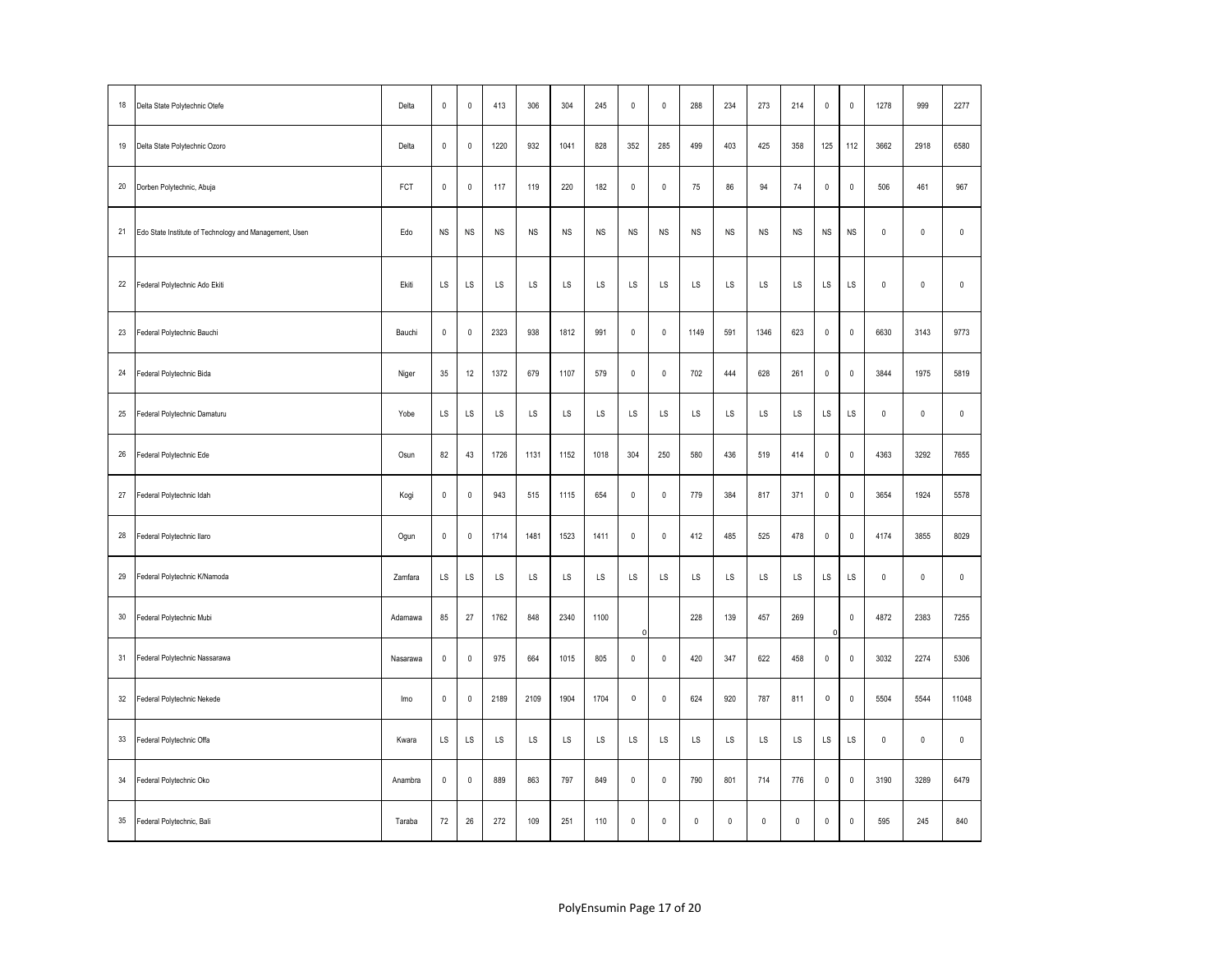| 18     | Delta State Polytechnic Otefe                          | Delta    | $\mathbf{0}$ | $\mathbf 0$         | 413       | 306       | 304       | 245       | $\mathbf{0}$ | $\mathbf 0$ | 288         | 234         | 273         | 214         | $\mathsf 0$    | $\pmb{0}$ | 1278        | 999          | 2277        |
|--------|--------------------------------------------------------|----------|--------------|---------------------|-----------|-----------|-----------|-----------|--------------|-------------|-------------|-------------|-------------|-------------|----------------|-----------|-------------|--------------|-------------|
| 19     | Delta State Polytechnic Ozoro                          | Delta    | $\mathsf 0$  | $\mathsf{O}\xspace$ | 1220      | 932       | 1041      | 828       | 352          | 285         | 499         | 403         | 425         | 358         | 125            | 112       | 3662        | 2918         | 6580        |
| 20     | Dorben Polytechnic, Abuja                              | FCT      | $\mathsf 0$  | $\mathsf{O}\xspace$ | 117       | 119       | 220       | 182       | $\mathsf 0$  | $\pmb{0}$   | 75          | 86          | 94          | 74          | $\mathsf 0$    | $\pmb{0}$ | 506         | 461          | 967         |
| 21     | Edo State Institute of Technology and Management, Usen | Edo      | <b>NS</b>    | <b>NS</b>           | <b>NS</b> | <b>NS</b> | <b>NS</b> | <b>NS</b> | <b>NS</b>    | <b>NS</b>   | <b>NS</b>   | <b>NS</b>   | <b>NS</b>   | <b>NS</b>   | <b>NS</b>      | <b>NS</b> | $\mathbf 0$ | $\mathbf{0}$ | $\mathbf 0$ |
| 22     | Federal Polytechnic Ado Ekiti                          | Ekiti    | LS           | LS                  | LS        | LS        | LS        | LS        | LS           | LS          | LS          | LS          | LS          | LS          | LS             | LS        | $\pmb{0}$   | $\mathbb O$  | $\mathbf 0$ |
| 23     | Federal Polytechnic Bauchi                             | Bauchi   | $\pmb{0}$    | $\mathbf 0$         | 2323      | 938       | 1812      | 991       | $\mathbf 0$  | $\pmb{0}$   | 1149        | 591         | 1346        | 623         | $\pmb{0}$      | $\pmb{0}$ | 6630        | 3143         | 9773        |
| 24     | Federal Polytechnic Bida                               | Niger    | 35           | 12                  | 1372      | 679       | 1107      | 579       | $\mathsf 0$  | $\pmb{0}$   | 702         | 444         | 628         | 261         | $\pmb{0}$      | $\pmb{0}$ | 3844        | 1975         | 5819        |
| 25     | Federal Polytechnic Damaturu                           | Yobe     | LS           | LS                  | LS        | LS        | LS        | LS        | LS           | LS          | LS          | LS          | LS          | LS          | LS             | LS        | $\pmb{0}$   | $\pmb{0}$    | $\mathbf 0$ |
| 26     | Federal Polytechnic Ede                                | Osun     | 82           | 43                  | 1726      | 1131      | 1152      | 1018      | 304          | 250         | 580         | 436         | 519         | 414         | $\mathbb O$    | $\pmb{0}$ | 4363        | 3292         | 7655        |
| $27\,$ | Federal Polytechnic Idah                               | Kogi     | $\pmb{0}$    | $\mathbf 0$         | 943       | 515       | 1115      | 654       | $\mathbf 0$  | $\pmb{0}$   | 779         | 384         | 817         | 371         | $\mathbf 0$    | $\pmb{0}$ | 3654        | 1924         | 5578        |
| 28     | Federal Polytechnic Ilaro                              | Ogun     | $\mathsf 0$  | $\mathsf{O}\xspace$ | 1714      | 1481      | 1523      | 1411      | $\mathsf 0$  | $\pmb{0}$   | 412         | 485         | 525         | 478         | $\pmb{0}$      | $\pmb{0}$ | 4174        | 3855         | 8029        |
| 29     | Federal Polytechnic K/Namoda                           | Zamfara  | LS           | LS                  | LS        | LS        | LS.       | LS        | LS           | LS          | LS          | LS          | LS          | LS          | LS             | LS        | $\pmb{0}$   | $\pmb{0}$    | $\mathbf 0$ |
| 30     | Federal Polytechnic Mubi                               | Adamawa  | 85           | 27                  | 1762      | 848       | 2340      | 1100      | $\Omega$     |             | 228         | 139         | 457         | 269         | $\Omega$       | $\pmb{0}$ | 4872        | 2383         | 7255        |
| 31     | Federal Polytechnic Nassarawa                          | Nasarawa | $\pmb{0}$    | $\mathbf 0$         | 975       | 664       | 1015      | 805       | $\mathbf 0$  | $\pmb{0}$   | 420         | 347         | 622         | 458         | $\mathbf 0$    | $\pmb{0}$ | 3032        | 2274         | 5306        |
| 32     | Federal Polytechnic Nekede                             | Imo      | $\mathsf 0$  | $\mathsf{O}\xspace$ | 2189      | 2109      | 1904      | 1704      | $\mathbf 0$  | $\pmb{0}$   | 624         | 920         | 787         | 811         | $\mathsf{o}\,$ | $\pmb{0}$ | 5504        | 5544         | 11048       |
| 33     | Federal Polytechnic Offa                               | Kwara    | LS           | LS                  | LS        | LS        | LS.       | LS        | LS           | LS          | LS          | LS          | LS          | LS          | LS             | LS        | $\pmb{0}$   | $\pmb{0}$    | $\mathbf 0$ |
| 34     | Federal Polytechnic Oko                                | Anambra  | $\pmb{0}$    | $\pmb{0}$           | 889       | 863       | 797       | 849       | $\mathsf 0$  | $\pmb{0}$   | 790         | 801         | 714         | 776         | $\mathbb O$    | $\pmb{0}$ | 3190        | 3289         | 6479        |
| $35\,$ | Federal Polytechnic, Bali                              | Taraba   | 72           | 26                  | 272       | 109       | 251       | 110       | $\mathsf 0$  | $\pmb{0}$   | $\mathbf 0$ | $\mathsf 0$ | $\mathbf 0$ | $\mathbb O$ | $\mathbf 0$    | $\pmb{0}$ | 595         | 245          | 840         |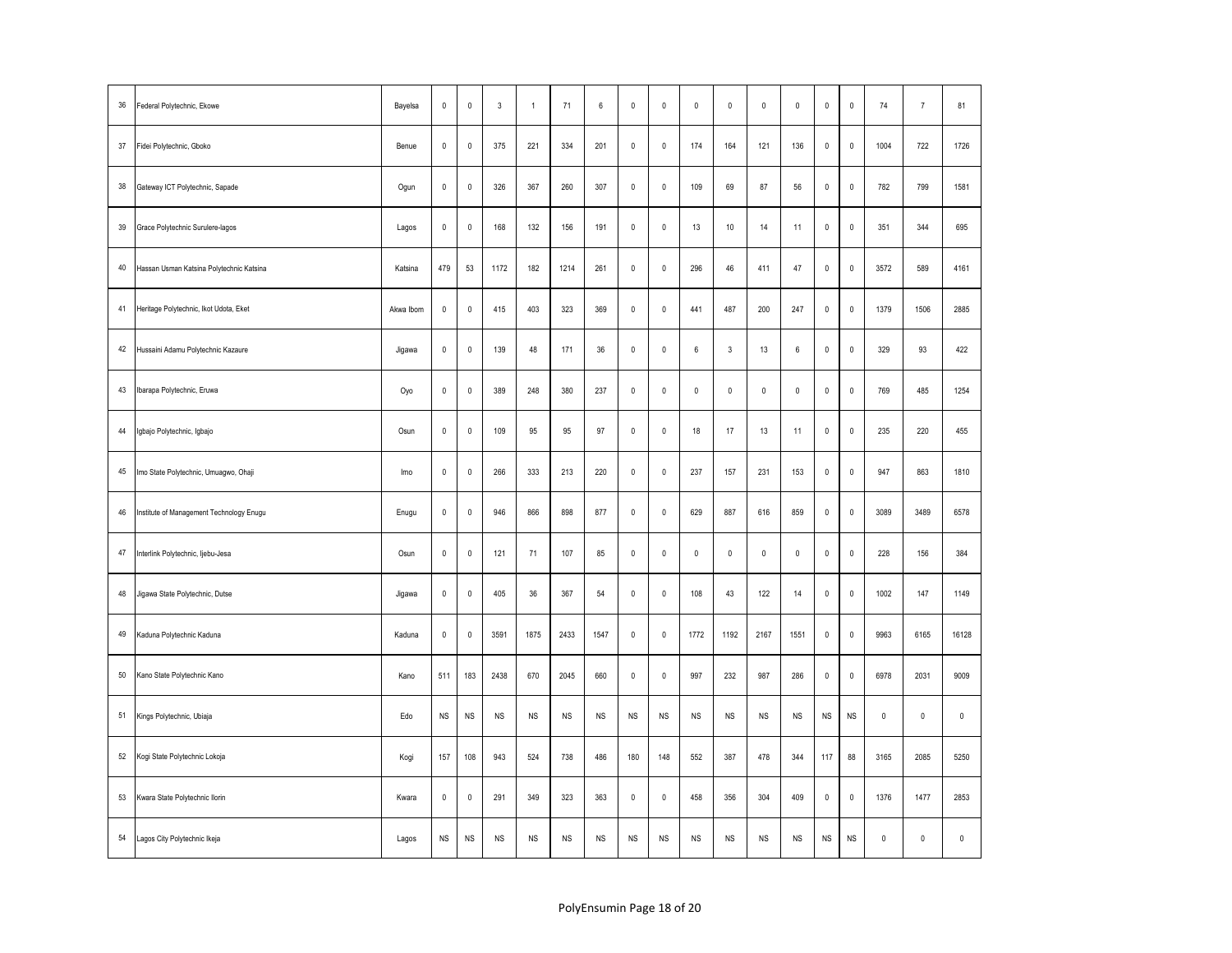| 36 | Federal Polytechnic, Ekowe               | Bayelsa   | $\pmb{0}$   | $\mathsf 0$         | $\mathbf{3}$ | $\overline{1}$ | 71          | 6    | $\mathbf 0$  | $\mathbf 0$ | $\mathbf{0}$     | $\mathbf{0}$        | $\mathsf 0$ | $\mathbf 0$         | $\mathsf 0$         | $\pmb{0}$    | 74          | $\overline{7}$ | 81        |
|----|------------------------------------------|-----------|-------------|---------------------|--------------|----------------|-------------|------|--------------|-------------|------------------|---------------------|-------------|---------------------|---------------------|--------------|-------------|----------------|-----------|
| 37 | Fidei Polytechnic, Gboko                 | Benue     | $\mathbf 0$ | $\mathsf 0$         | 375          | 221            | 334         | 201  | 0            | $\mathbb O$ | 174              | 164                 | 121         | 136                 | $\mathsf{O}\xspace$ | $\mathbb O$  | 1004        | 722            | 1726      |
| 38 | Gateway ICT Polytechnic, Sapade          | Ogun      | $\mathsf 0$ | $\mathsf{O}\xspace$ | 326          | 367            | 260         | 307  | $\mathsf 0$  | $\pmb{0}$   | 109              | 69                  | 87          | 56                  | $\mathsf 0$         | $\mathbb O$  | 782         | 799            | 1581      |
| 39 | Grace Polytechnic Surulere-lagos         | Lagos     | $\mathbf 0$ | $\mathsf{O}\xspace$ | 168          | 132            | 156         | 191  | $\mathsf 0$  | $\pmb{0}$   | 13               | 10                  | 14          | 11                  | $\mathsf 0$         | $\mathbf{0}$ | 351         | 344            | 695       |
| 40 | Hassan Usman Katsina Polytechnic Katsina | Katsina   | 479         | 53                  | 1172         | 182            | 1214        | 261  | 0            | $\mathbb O$ | 296              | 46                  | 411         | 47                  | $\mathsf 0$         | $\pmb{0}$    | 3572        | 589            | 4161      |
| 41 | Heritage Polytechnic, Ikot Udota, Eket   | Akwa Ibom | $\mathbf 0$ | $\mathsf{O}\xspace$ | 415          | 403            | 323         | 369  | $\mathsf 0$  | $\pmb{0}$   | 441              | 487                 | 200         | 247                 | $\mathsf 0$         | $\mathbb O$  | 1379        | 1506           | 2885      |
| 42 | Hussaini Adamu Polytechnic Kazaure       | Jigawa    | $\pmb{0}$   | $\mathsf{O}\xspace$ | 139          | 48             | 171         | 36   | $\mathbf 0$  | $\mathbb O$ | $\boldsymbol{6}$ | $\mathsf 3$         | 13          | 6                   | $\mathbf 0$         | $\mathbb O$  | 329         | 93             | 422       |
| 43 | Ibarapa Polytechnic, Eruwa               | Oyo       | $\pmb{0}$   | $\mathsf{O}\xspace$ | 389          | 248            | 380         | 237  | $\mathsf 0$  | $\pmb{0}$   | $\pmb{0}$        | $\mathsf 0$         | $\mathbb O$ | $\mathsf{O}\xspace$ | $\mathsf 0$         | $\pmb{0}$    | 769         | 485            | 1254      |
| 44 | Igbajo Polytechnic, Igbajo               | Osun      | $\mathbf 0$ | $\mathbf 0$         | 109          | 95             | 95          | 97   | $\mathsf{O}$ | $\mathbb O$ | 18               | 17                  | 13          | 11                  | $\mathbf 0$         | $\pmb{0}$    | 235         | 220            | 455       |
| 45 | lmo State Polytechnic, Umuagwo, Ohaji    | Imo       | $\pmb{0}$   | $\mathbf 0$         | 266          | 333            | 213         | 220  | $\mathsf{O}$ | $\mathbb O$ | 237              | 157                 | 231         | 153                 | $\mathbf 0$         | $\mathbb O$  | 947         | 863            | 1810      |
| 46 | Institute of Management Technology Enugu | Enugu     | $\pmb{0}$   | $\mathsf{O}\xspace$ | 946          | 866            | 898         | 877  | $\mathsf 0$  | $\mathbf 0$ | 629              | 887                 | 616         | 859                 | $\mathsf{O}\xspace$ | $\mathbb O$  | 3089        | 3489           | 6578      |
| 47 | Interlink Polytechnic, Ijebu-Jesa        | Osun      | $\mathsf 0$ | $\mathbf 0$         | 121          | 71             | 107         | 85   | 0            | $\mathbb O$ | $\pmb{0}$        | $\mathsf{O}\xspace$ | $\mathbb O$ | $\mathsf{O}\xspace$ | $\mathsf 0$         | $\pmb{0}$    | 228         | 156            | 384       |
| 48 | Jigawa State Polytechnic, Dutse          | Jigawa    | $\mathbf 0$ | $\pmb{0}$           | 405          | 36             | 367         | 54   | $\mathsf 0$  | $\mathbb O$ | 108              | 43                  | 122         | 14                  | $\mathbf 0$         | $\mathbb O$  | 1002        | 147            | 1149      |
| 49 | Kaduna Polytechnic Kaduna                | Kaduna    | $\pmb{0}$   | $\pmb{0}$           | 3591         | 1875           | 2433        | 1547 | $\mathbf 0$  | $\mathbb O$ | 1772             | 1192                | 2167        | 1551                | $\mathsf{O}\xspace$ | $\pmb{0}$    | 9963        | 6165           | 16128     |
| 50 | Kano State Polytechnic Kano              | Kano      | 511         | 183                 | 2438         | 670            | 2045        | 660  | 0            | $\pmb{0}$   | 997              | 232                 | 987         | 286                 | $\mathsf{O}\xspace$ | $\pmb{0}$    | 6978        | 2031           | 9009      |
| 51 | Kings Polytechnic, Ubiaja                | Edo       | ${\sf NS}$  | ${\sf NS}$          | <b>NS</b>    | <b>NS</b>      | NS          | NS   | <b>NS</b>    | $_{\rm NS}$ | $_{\rm NS}$      | <b>NS</b>           | $_{\rm NS}$ | $_{\rm NS}$         | <b>NS</b>           | <b>NS</b>    | $\mathbb O$ | $\pmb{0}$      | $\pmb{0}$ |
| 52 | Kogi State Polytechnic Lokoja            | Kogi      | 157         | 108                 | 943          | 524            | 738         | 486  | 180          | 148         | 552              | 387                 | 478         | 344                 | 117                 | 88           | 3165        | 2085           | 5250      |
| 53 | Kwara State Polytechnic Ilorin           | Kwara     | $\pmb{0}$   | $\mathsf 0$         | 291          | 349            | 323         | 363  | 0            | $\pmb{0}$   | 458              | 356                 | 304         | 409                 | $\mathsf 0$         | $\pmb{0}$    | 1376        | 1477           | 2853      |
| 54 | Lagos City Polytechnic Ikeja             | Lagos     | ${\sf NS}$  | $_{\rm NS}$         | <b>NS</b>    | <b>NS</b>      | $_{\rm NS}$ | NS   | <b>NS</b>    | $_{\rm NS}$ | $_{\rm NS}$      | <b>NS</b>           | $_{\rm NS}$ | $_{\rm NS}$         | <b>NS</b>           | <b>NS</b>    | $\mathbb O$ | $\mathbf 0$    | $\pmb{0}$ |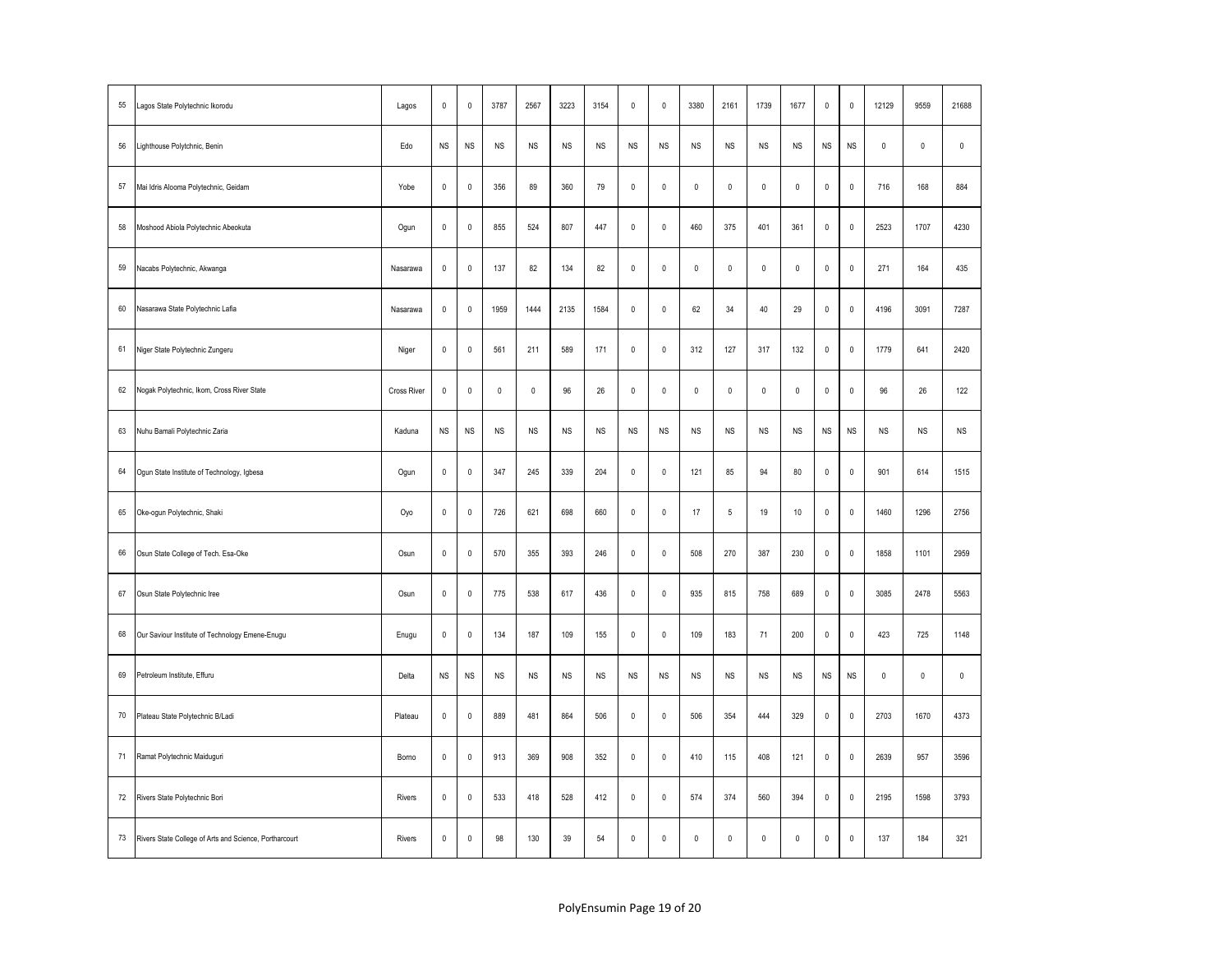| 55 | Lagos State Polytechnic Ikorodu                        | Lagos              | $\mathsf 0$ | $\mathsf 0$ | 3787      | 2567        | 3223      | 3154      | $\mathsf{O}\xspace$ | $\pmb{0}$    | 3380        | 2161                | 1739        | 1677                | 0                   | $\pmb{0}$    | 12129       | 9559      | 21688     |
|----|--------------------------------------------------------|--------------------|-------------|-------------|-----------|-------------|-----------|-----------|---------------------|--------------|-------------|---------------------|-------------|---------------------|---------------------|--------------|-------------|-----------|-----------|
| 56 | Lighthouse Polytchnic, Benin                           | Edo                | <b>NS</b>   | NS          | <b>NS</b> | <b>NS</b>   | <b>NS</b> | <b>NS</b> | <b>NS</b>           | <b>NS</b>    | <b>NS</b>   | <b>NS</b>           | <b>NS</b>   | NS                  | $_{\rm NS}$         | <b>NS</b>    | $\mathbb O$ | $\pmb{0}$ | $\pmb{0}$ |
| 57 | Mai Idris Alooma Polytechnic, Geidam                   | Yobe               | $\mathsf 0$ | $\mathsf 0$ | 356       | 89          | 360       | 79        | $\mathsf{O}\xspace$ | $\mathbb O$  | $\mathsf 0$ | $\mathsf 0$         | $\mathbb O$ | $\mathsf 0$         | $\mathsf{O}\xspace$ | $\mathbb O$  | 716         | 168       | 884       |
| 58 | Moshood Abiola Polytechnic Abeokuta                    | Ogun               | $\mathsf 0$ | $\mathbf 0$ | 855       | 524         | 807       | 447       | $\mathsf{O}\xspace$ | $\mathbf{0}$ | 460         | 375                 | 401         | 361                 | $\mathsf{O}\xspace$ | $\mathbb O$  | 2523        | 1707      | 4230      |
| 59 | Nacabs Polytechnic, Akwanga                            | Nasarawa           | $\mathbb O$ | $\mathbf 0$ | 137       | 82          | 134       | 82        | $\mathbf 0$         | $\mathbb O$  | $\mathbf 0$ | $\mathbb O$         | $\mathbf 0$ | $\mathbf 0$         | $\pmb{0}$           | $\mathbb O$  | 271         | 164       | 435       |
| 60 | Nasarawa State Polytechnic Lafia                       | Nasarawa           | $\pmb{0}$   | $\mathbf 0$ | 1959      | 1444        | 2135      | 1584      | $\pmb{0}$           | $\mathbb O$  | 62          | 34                  | $40\,$      | 29                  | $\mathbf 0$         | $\mathbb O$  | 4196        | 3091      | 7287      |
| 61 | Niger State Polytechnic Zungeru                        | Niger              | $\pmb{0}$   | $\mathbf 0$ | 561       | 211         | 589       | 171       | $\mathbf 0$         | $\mathbb O$  | 312         | 127                 | 317         | 132                 | $\mathbf 0$         | $\pmb{0}$    | 1779        | 641       | 2420      |
| 62 | Nogak Polytechnic, Ikom, Cross River State             | <b>Cross River</b> | $\mathbf 0$ | $\mathbf 0$ | $\pmb{0}$ | $\mathbf 0$ | 96        | $26\,$    | $\mathsf{O}\xspace$ | $\mathbb O$  | $\mathbf 0$ | $\mathsf{O}\xspace$ | $\mathbb O$ | $\mathsf{O}\xspace$ | $\mathsf{O}\xspace$ | $\pmb{0}$    | 96          | 26        | 122       |
| 63 | Nuhu Bamali Polytechnic Zaria                          | Kaduna             | <b>NS</b>   | NS          | <b>NS</b> | NS          | NS        | <b>NS</b> | NS                  | NS           | <b>NS</b>   | NS                  | <b>NS</b>   | NS                  | NS                  | <b>NS</b>    | <b>NS</b>   | <b>NS</b> | <b>NS</b> |
| 64 | Ogun State Institute of Technology, Igbesa             | Ogun               | $\mathsf 0$ | $\mathsf 0$ | 347       | 245         | 339       | 204       | $\mathbf{0}$        | $\mathbf{0}$ | 121         | 85                  | 94          | 80                  | $\mathsf{O}\xspace$ | $\mathbf{0}$ | 901         | 614       | 1515      |
| 65 | Oke-ogun Polytechnic, Shaki                            | Oyo                | $\mathsf 0$ | $\mathsf 0$ | 726       | 621         | 698       | 660       | $\mathbf 0$         | $\mathbf{0}$ | 17          | 5                   | 19          | $10$                | $\mathbf{0}$        | $\mathbf 0$  | 1460        | 1296      | 2756      |
| 66 | Osun State College of Tech. Esa-Oke                    | Osun               | $\mathsf 0$ | $\mathsf 0$ | 570       | 355         | 393       | 246       | $\mathsf{O}\xspace$ | $\pmb{0}$    | 508         | 270                 | 387         | 230                 | $\mathbf 0$         | $\pmb{0}$    | 1858        | 1101      | 2959      |
| 67 | Osun State Polytechnic Iree                            | Osun               | $\mathsf 0$ | $\mathsf 0$ | 775       | 538         | 617       | 436       | $\mathsf 0$         | $\mathbf 0$  | 935         | 815                 | 758         | 689                 | $\mathsf 0$         | $\pmb{0}$    | 3085        | 2478      | 5563      |
| 68 | Our Saviour Institute of Technology Emene-Enugu        | Enugu              | $\mathsf 0$ | $\mathsf 0$ | 134       | 187         | 109       | 155       | $\mathsf{O}\xspace$ | $\mathbb O$  | 109         | 183                 | 71          | 200                 | $\mathbf 0$         | $\pmb{0}$    | 423         | 725       | 1148      |
| 69 | Petroleum Institute, Effuru                            | Delta              | <b>NS</b>   | NS          | <b>NS</b> | <b>NS</b>   | <b>NS</b> | NS        | NS                  | <b>NS</b>    | <b>NS</b>   | NS                  | <b>NS</b>   | NS                  | NS                  | <b>NS</b>    | $\mathbb O$ | $\pmb{0}$ | $\pmb{0}$ |
| 70 | Plateau State Polytechnic B/Ladi                       | Plateau            | $\mathsf 0$ | $\mathbf 0$ | 889       | 481         | 864       | 506       | $\mathsf{O}\xspace$ | $\mathbb O$  | 506         | 354                 | 444         | 329                 | $\mathsf{O}\xspace$ | $\mathbb O$  | 2703        | 1670      | 4373      |
| 71 | Ramat Polytechnic Maiduguri                            | Bomo               | $\mathbf 0$ | $\mathbf 0$ | 913       | 369         | 908       | 352       | $\mathsf{O}\xspace$ | $\mathbb O$  | 410         | 115                 | 408         | 121                 | $\mathsf{O}\xspace$ | $\mathbb O$  | 2639        | 957       | 3596      |
| 72 | Rivers State Polytechnic Bori                          | Rivers             | $\mathsf 0$ | $\mathsf 0$ | 533       | 418         | 528       | 412       | $\mathsf{O}\xspace$ | $\pmb{0}$    | 574         | 374                 | 560         | 394                 | $\mathbf 0$         | $\pmb{0}$    | 2195        | 1598      | 3793      |
| 73 | Rivers State College of Arts and Science, Portharcourt | Rivers             | $\mathbb O$ | $\mathbf 0$ | 98        | 130         | 39        | 54        | $\mathsf{O}\xspace$ | $\mathbb O$  | $\mathbf 0$ | $\mathsf{O}\xspace$ | $\mathbb O$ | $\mathsf{O}\xspace$ | $\mathbb O$         | $\pmb{0}$    | 137         | 184       | 321       |